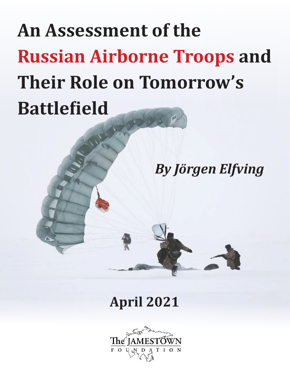# **An Assessment of the Russian Airborne Troops and Their Role on Tomorrow's Battlefield**

*By Jörgen Elfving*

# **April 2021**

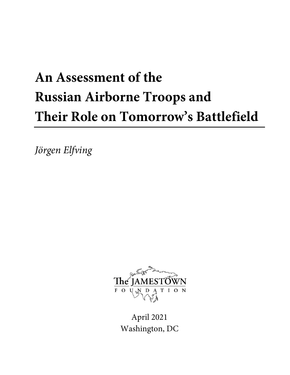# **An Assessment of the Russian Airborne Troops and Their Role on Tomorrow's Battlefield**

*Jörgen Elfving* 



April 2021 Washington, DC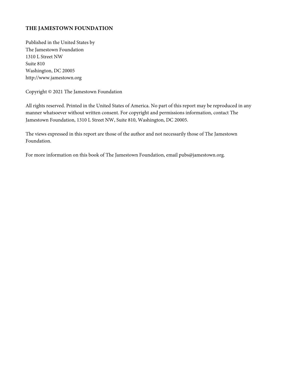#### **THE JAMESTOWN FOUNDATION**

Published in the United States by The Jamestown Foundation 1310 L Street NW Suite 810 Washington, DC 20005 http://www.jamestown.org

Copyright © 2021 The Jamestown Foundation

All rights reserved. Printed in the United States of America. No part of this report may be reproduced in any manner whatsoever without written consent. For copyright and permissions information, contact The Jamestown Foundation, 1310 L Street NW, Suite 810, Washington, DC 20005.

The views expressed in this report are those of the author and not necessarily those of The Jamestown Foundation.

For more information on this book of The Jamestown Foundation, email pubs@jamestown.org.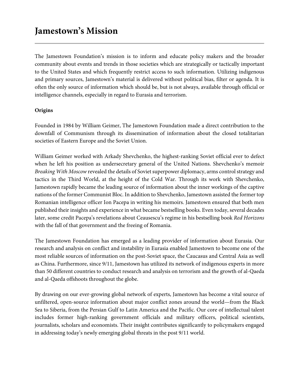## **Jamestown's Mission**

The Jamestown Foundation's mission is to inform and educate policy makers and the broader community about events and trends in those societies which are strategically or tactically important to the United States and which frequently restrict access to such information. Utilizing indigenous and primary sources, Jamestown's material is delivered without political bias, filter or agenda. It is often the only source of information which should be, but is not always, available through official or intelligence channels, especially in regard to Eurasia and terrorism.

#### **Origins**

Founded in 1984 by William Geimer, The Jamestown Foundation made a direct contribution to the downfall of Communism through its dissemination of information about the closed totalitarian societies of Eastern Europe and the Soviet Union.

William Geimer worked with Arkady Shevchenko, the highest-ranking Soviet official ever to defect when he left his position as undersecretary general of the United Nations. Shevchenko's memoir *Breaking With Moscow* revealed the details of Soviet superpower diplomacy, arms control strategy and tactics in the Third World, at the height of the Cold War. Through its work with Shevchenko, Jamestown rapidly became the leading source of information about the inner workings of the captive nations of the former Communist Bloc. In addition to Shevchenko, Jamestown assisted the former top Romanian intelligence officer Ion Pacepa in writing his memoirs. Jamestown ensured that both men published their insights and experience in what became bestselling books. Even today, several decades later, some credit Pacepa's revelations about Ceausescu's regime in his bestselling book *Red Horizons* with the fall of that government and the freeing of Romania.

The Jamestown Foundation has emerged as a leading provider of information about Eurasia. Our research and analysis on conflict and instability in Eurasia enabled Jamestown to become one of the most reliable sources of information on the post-Soviet space, the Caucasus and Central Asia as well as China. Furthermore, since 9/11, Jamestown has utilized its network of indigenous experts in more than 50 different countries to conduct research and analysis on terrorism and the growth of al-Qaeda and al-Qaeda offshoots throughout the globe.

By drawing on our ever-growing global network of experts, Jamestown has become a vital source of unfiltered, open-source information about major conflict zones around the world—from the Black Sea to Siberia, from the Persian Gulf to Latin America and the Pacific. Our core of intellectual talent includes former high-ranking government officials and military officers, political scientists, journalists, scholars and economists. Their insight contributes significantly to policymakers engaged in addressing today's newly emerging global threats in the post 9/11 world.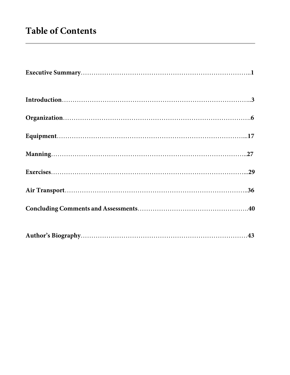# **Table of Contents**

|--|--|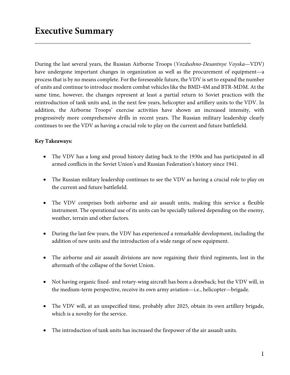During the last several years, the Russian Airborne Troops (*Vozdushno-Desantnye Voyska*—VDV) have undergone important changes in organization as well as the procurement of equipment—a process that is by no means complete. For the foreseeable future, the VDV is set to expand the number of units and continue to introduce modern combat vehicles like the BMD-4M and BTR-MDM. At the same time, however, the changes represent at least a partial return to Soviet practices with the reintroduction of tank units and, in the next few years, helicopter and artillery units to the VDV. In addition, the Airborne Troops' exercise activities have shown an increased intensity, with progressively more comprehensive drills in recent years. The Russian military leadership clearly continues to see the VDV as having a crucial role to play on the current and future battlefield.

#### **Key Takeaways:**

- The VDV has a long and proud history dating back to the 1930s and has participated in all armed conflicts in the Soviet Union's and Russian Federation's history since 1941.
- The Russian military leadership continues to see the VDV as having a crucial role to play on the current and future battlefield.
- The VDV comprises both airborne and air assault units, making this service a flexible instrument. The operational use of its units can be specially tailored depending on the enemy, weather, terrain and other factors.
- During the last few years, the VDV has experienced a remarkable development, including the addition of new units and the introduction of a wide range of new equipment.
- The airborne and air assault divisions are now regaining their third regiments, lost in the aftermath of the collapse of the Soviet Union.
- Not having organic fixed- and rotary-wing aircraft has been a drawback; but the VDV will, in the medium-term perspective, receive its own army aviation—i.e., helicopter—brigade.
- The VDV will, at an unspecified time, probably after 2025, obtain its own artillery brigade, which is a novelty for the service.
- The introduction of tank units has increased the firepower of the air assault units.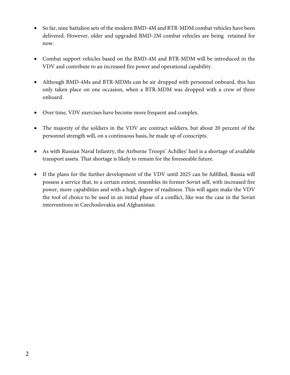- So far, nine battalion sets of the modern BMD-4M and BTR-MDM combat vehicles have been delivered. However, older and upgraded BMD-2M combat vehicles are being retained for now.
- Combat support vehicles based on the BMD-4M and BTR-MDM will be introduced in the VDV and contribute to an increased fire power and operational capability.
- Although BMD-4Ms and BTR-MDMs can be air dropped with personnel onboard, this has only taken place on one occasion, when a BTR-MDM was dropped with a crew of three onboard.
- Over time, VDV exercises have become more frequent and complex.
- The majority of the soldiers in the VDV are contract soldiers, but about 20 percent of the personnel strength will, on a continuous basis, be made up of conscripts.
- As with Russian Naval Infantry, the Airborne Troops' Achilles' heel is a shortage of available transport assets. That shortage is likely to remain for the foreseeable future.
- If the plans for the further development of the VDV until 2025 can be fulfilled, Russia will possess a service that, to a certain extent, resembles its former Soviet self, with increased fire power, more capabilities and with a high degree of readiness. This will again make the VDV the tool of choice to be used in an initial phase of a conflict, like was the case in the Soviet interventions in Czechoslovakia and Afghanistan.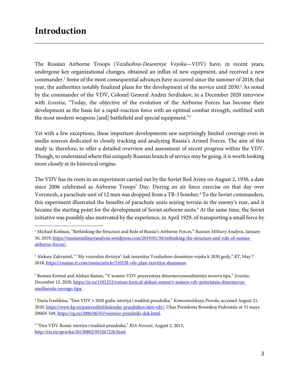#### **Introduction**

The Russian Airborne Troops (*Vozdushno-Desantnye Voyska*—VDV) have, in recent years, undergone key organizational changes, obtained an influx of new equipment, and received a new commander.<sup>1</sup> Some of the most consequential advances have occurred since the summer of 2018; that year, the authorities notably finalized plans for the development of the service until 2030.<sup>2</sup> As noted by the commander of the VDV, Colonel General Andrei Serdiukov, in a December 2020 interview with *Izvestia*, "Today, the objective of the evolution of the Airborne Forces has become their development as the basis for a rapid-reaction force with an optimal combat strength, outfitted with the most modern weapons [and] battlefield and special equipment."3

Yet with a few exceptions, these important developments saw surprisingly limited coverage even in media sources dedicated to closely tracking and analyzing Russia's Armed Forces. The aim of this study is, therefore, to offer a detailed overview and assessment of recent progress within the VDV. Though, to understand where this uniquely Russian branch of service may be going, it is worth looking more closely at its historical origins.

The VDV has its roots in an experiment carried out by the Soviet Red Army on August 2, 1930, a date since 2006 celebrated as Airborne Troops' Day. During an air force exercise on that day over Voronezh, a parachute unit of 12 men was dropped from a TB-3 bomber.<sup>4</sup> To the Soviet commanders, this experiment illustrated the benefits of parachute units seizing terrain in the enemy's rear, and it became the starting point for the development of Soviet airborne units.<sup>5</sup> At the same time, the Soviet initiative was possibly also motivated by the experience, in April 1929, of transporting a small force by

3 Roman Kretsul and Aleksei Ramm, "V sostave VDV poyavyatsya shturmovyesoedineniya novovo tipa," *Izvestia*, December 12, 2020, https://iz.ru/1101252/roman-kretcul-aleksei-ramm/v-sostave-vdv-poiaviatsia-shturmovyesoedineniia-novogo-tipa.

4 Daria Ivashkina, "Den VDV v 2020 godu: istoriya i traditsii prazdnika," *Komsomolskaya Pravda*, accessed August 21, 2020, https://www.kp.ru/putevoditel/kalendar-prazdnikov/den-vdv/, Ukaz Presidenta Rossiskoy Federatsiy ot 31 maya 2006N 549, https://rg.ru/2006/06/03/voennye-prazdniki-dok.html.

5 "Den VDV Rossii: istoriya i traditsii prazdnika," *RIA Novosti*, August 2, 2013, http://ria.ru/spravka/20130802/953267226.html.

<sup>1</sup> Michael Kofman, "Rethinking the Structure and Role of Russia's Airborne Forces," *Russian Military Analysis*, January 30, 2019, https://russianmilitaryanalysis.wordpress.com/2019/01/30/rethinking-the-structure-and-role-of-russiasairborne-forces/.

<sup>2</sup> Aleksey Zakvazinf, " 'My vozrodim diviziyu': kak ismenitsa Vozdushno-desantnye vojska k 2030 gody," *RT*, May 7 2018, https://russian.rt.com/russia/article/510528-vdv-plan-razvitiya-shamanov.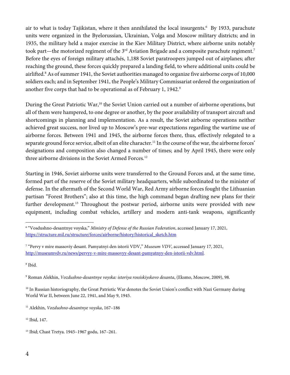air to what is today Tajikistan, where it then annihilated the local insurgents.6 By 1933, parachute units were organized in the Byelorussian, Ukrainian, Volga and Moscow military districts; and in 1935, the military held a major exercise in the Kiev Military District, where airborne units notably took part—the motorized regiment of the 3<sup>rd</sup> Aviation Brigade and a composite parachute regiment.<sup>7</sup> Before the eyes of foreign military attachés, 1,188 Soviet paratroopers jumped out of airplanes; after reaching the ground, these forces quickly prepared a landing field, to where additional units could be airlifted.8 As of summer 1941, the Soviet authorities managed to organize five airborne corps of 10,000 soldiers each; and in September 1941, the People's Military Commissariat ordered the organization of another five corps that had to be operational as of February 1, 1942. $9$ 

During the Great Patriotic War,<sup>10</sup> the Soviet Union carried out a number of airborne operations, but all of them were hampered, to one degree or another, by the poor availability of transport aircraft and shortcomings in planning and implementation. As a result, the Soviet airborne operations neither achieved great success, nor lived up to Moscow's pre-war expectations regarding the wartime use of airborne forces. Between 1941 and 1945, the airborne forces there, thus, effectively relegated to a separate ground force service, albeit of an elite character.<sup>11</sup> In the course of the war, the airborne forces' designations and composition also changed a number of times; and by April 1945, there were only three airborne divisions in the Soviet Armed Forces.<sup>12</sup>

Starting in 1946, Soviet airborne units were transferred to the Ground Forces and, at the same time, formed part of the reserve of the Soviet military headquarters, while subordinated to the minister of defense. In the aftermath of the Second World War, Red Army airborne forces fought the Lithuanian partisan "Forest Brothers"; also at this time, the high command began drafting new plans for their further development.<sup>13</sup> Throughout the postwar period, airborne units were provided with new equipment, including combat vehicles, artillery and modern anti-tank weapons, significantly

12 Ibid, 147.

<sup>6</sup> "Vosdushno-desantnye voyska," *Ministry of Defense of the Russian Federation*, accessed January 17, 2021, https://structure.mil.ru/structure/forces/airborne/history/historical\_sketch.htm

<sup>7</sup> "Pervy v mire massoviy desant. Pamyatnyi den istorii VDV," *Museum VDV*, accessed January 17, 2021, http://museumvdv.ru/news/pervyy-v-mire-massovyy-desant-pamyatnyy-den-istorii-vdv.html.

<sup>8</sup> Ibid.

<sup>9</sup> Roman Alekhin, *Vozdushno-desantnye voyska: istoriya rossiskiyskovo desanta*, (Eksmo, Moscow, 2009), 98.

<sup>&</sup>lt;sup>10</sup> In Russian historiography, the Great Patriotic War denotes the Soviet Union's conflict with Nazi Germany during World War II, between June 22, 1941, and May 9, 1945.

<sup>11</sup> Alekhin, *Vozdushno-desantnye voyska*, 167–186

<sup>13</sup> Ibid; Chast Tretya. 1945–1967 godu, 167–261.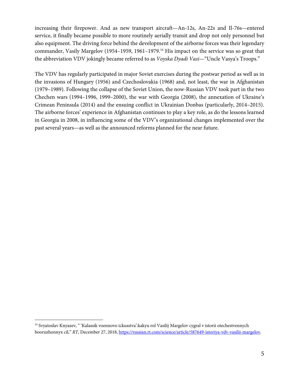increasing their firepower. And as new transport aircraft—An-12s, An-22s and Il-76s—entered service, it finally became possible to more routinely aerially transit and drop not only personnel but also equipment. The driving force behind the development of the airborne forces was their legendary commander, Vasily Margelov (1954–1959, 1961–1979.<sup>14</sup> His impact on the service was so great that the abbreviation VDV jokingly became referred to as *Voyska Dyadi Vasi*—"Uncle Vasya's Troops."

The VDV has regularly participated in major Soviet exercises during the postwar period as well as in the invasions of Hungary (1956) and Czechoslovakia (1968) and, not least, the war in Afghanistan (1979–1989). Following the collapse of the Soviet Union, the now-Russian VDV took part in the two Chechen wars (1994–1996, 1999–2000), the war with Georgia (2008), the annexation of Ukraine's Crimean Peninsula (2014) and the ensuing conflict in Ukrainian Donbas (particularly, 2014–2015). The airborne forces' experience in Afghanistan continues to play a key role, as do the lessons learned in Georgia in 2008, in influencing some of the VDV's organizational changes implemented over the past several years—as well as the announced reforms planned for the near future.

<sup>&</sup>lt;sup>14</sup> Svyatoslav Knyazev, " 'Kalassik voennovo ickusstva':kakyu rol Vasilij Margelov cygral v istorii otechestvennych booruzhonnyx cil," *RT*, December 27, 2018, https://russian.rt.com/science/article/587649-istoriya-vdv-vasilii-margelov.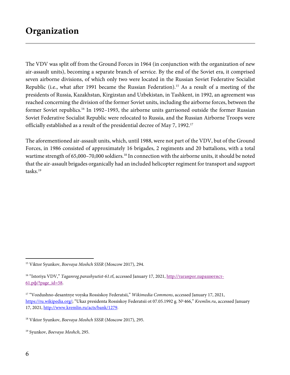#### **Organization**

The VDV was split off from the Ground Forces in 1964 (in conjunction with the organization of new air-assault units), becoming a separate branch of service. By the end of the Soviet era, it comprised seven airborne divisions, of which only two were located in the Russian Soviet Federative Socialist Republic (i.e., what after 1991 became the Russian Federation).<sup>15</sup> As a result of a meeting of the presidents of Russia, Kazakhstan, Kirgizstan and Uzbekistan, in Tashkent, in 1992, an agreement was reached concerning the division of the former Soviet units, including the airborne forces, between the former Soviet republics.16 In 1992–1993, the airborne units garrisoned outside the former Russian Soviet Federative Socialist Republic were relocated to Russia, and the Russian Airborne Troops were officially established as a result of the presidential decree of May 7, 1992.17

The aforementioned air-assault units, which, until 1988, were not part of the VDV, but of the Ground Forces, in 1986 consisted of approximately 16 brigades, 2 regiments and 20 battalions, with a total wartime strength of 65,000-70,000 soldiers.<sup>18</sup> In connection with the airborne units, it should be noted that the air-assault brigades organically had an included helicopter regiment for transport and support tasks.<sup>19</sup>

<sup>15</sup> Viktor Syunkov, *Boevaya Moshch SSSR* (Moscow 2017), 294.

<sup>16 &</sup>quot;Istoriya VDV," *Taganrog.parashyutist-61*.rf, accessed January 17, 2021, http://таганрог.парашютист- $61.p\phi$ ?page\_id=58.

<sup>17 &</sup>quot;Vozdushno-desantnye voyska Rossiskoy Federatsii," *Wikimedia Commons*, accessed January 17, 2021, https://ru.wikipedia.org/; "Ukaz presidenta Rossiskoy Federatsii ot 07.05.1992 g. Nº466," *Kremlin.ru*, accessed January 17, 2021, http://www.kremlin.ru/acts/bank/1279.

<sup>18</sup> Viktor Syunkov, *Boevaya Moshch SSSR* (Moscow 2017), 295.

<sup>19</sup> Syunkov, *Boevaya Moshch*, 295.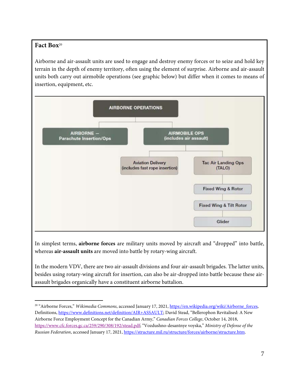#### **Fact Box**<sup>20</sup>

Airborne and air-assault units are used to engage and destroy enemy forces or to seize and hold key terrain in the depth of enemy territory, often using the element of surprise. Airborne and air-assault units both carry out airmobile operations (see graphic below) but differ when it comes to means of insertion, equipment, etc.



In simplest terms, **airborne forces** are military units moved by aircraft and "dropped" into battle, whereas **air-assault units** are moved into battle by rotary-wing aircraft.

In the modern VDV, there are two air-assault divisions and four air-assault brigades. The latter units, besides using rotary-wing aircraft for insertion, can also be air-dropped into battle because these airassault brigades organically have a constituent airborne battalion.

 <sup>20</sup> "Airborne Forces," Wikimedia Commons, accessed January 17, 2021, https://en.wikipedia.org/wiki/Airborne\_forces, Definitions, https://www.definitions.net/definition/AIR+ASSAULT; David Stead, "Bellerophon Revitalised: A New Airborne Force Employment Concept for the Canadian Army," *Canadian Forces College*, October 14, 2018, https://www.cfc.forces.gc.ca/259/290/308/192/stead.pdf; "Vozdushno-desantnye voyska," *Ministry of Defense of the Russian Federation*, accessed January 17, 2021, https://structure.mil.ru/structure/forces/airborne/structure.htm.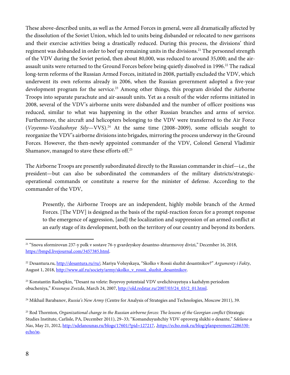These above-described units, as well as the Armed Forces in general, were all dramatically affected by the dissolution of the Soviet Union, which led to units being disbanded or relocated to new garrisons and their exercise activities being a drastically reduced. During this process, the divisions' third regiment was disbanded in order to beef up remaining units in the divisions.<sup>21</sup> The personnel strength of the VDV during the Soviet period, then about 80,000, was reduced to around 35,000; and the airassault units were returned to the Ground Forces before being quietly dissolved in 1996.<sup>22</sup> The radical long-term reforms of the Russian Armed Forces, initiated in 2008, partially excluded the VDV, which underwent its own reforms already in 2006, when the Russian government adopted a five-year development program for the service.<sup>23</sup> Among other things, this program divided the Airborne Troops into separate parachute and air-assault units. Yet as a result of the wider reforms initiated in 2008, several of the VDV's airborne units were disbanded and the number of officer positions was reduced, similar to what was happening in the other Russian branches and arms of service. Furthermore, the aircraft and helicopters belonging to the VDV were transferred to the Air Force (*Voyenno-Vozdushnye Sily*—VVS).24 At the same time (2008–2009), some officials sought to reorganize the VDV's airborne divisions into brigades, mirroring the process underway in the Ground Forces. However, the then-newly appointed commander of the VDV, Colonel General Vladimir Shamanov, managed to stave these efforts off.<sup>25</sup>

The Airborne Troops are presently subordinated directly to the Russian commander in chief—i.e., the president—but can also be subordinated the commanders of the military districts/strategicoperational commands or constitute a reserve for the minister of defense. According to the commander of the VDV,

Presently, the Airborne Troops are an independent, highly mobile branch of the Armed Forces. [The VDV] is designed as the basis of the rapid-reaction forces for a prompt response to the emergence of aggression, [and] the localization and suppression of an armed conflict at an early stage of its development, both on the territory of our country and beyond its borders.

24 Mikhail Barabanov, *Russia's New Army* (Centre for Analysis of Strategies and Technologies, Moscow 2011), 39.

<sup>21 &</sup>quot;Snova sformirovan 237-y polk v sostave 76-y gvardeyskoy desantno-shturmovoy divizi," December 16, 2018, https://bmpd.livejournal.com/3457385.html.

<sup>22</sup> Desantura.ru, http://desantura.ru/ru/; Mariya Voluyskaya, "Skolko v Rossii sluzhit desantnikov?" *Argumenty i Fakty*, August 1, 2018, http://www.aif.ru/society/army/skolko\_v\_rossii\_sluzhit\_desantnikov.

<sup>23</sup> Konstantin Rashepkin, "Desant na vzlete: Boyevoy potentsial VDV uvelichivayetsya s kazhdym periodom obucheniya," *Krasnaya Zvezda*, March 24, 2007, http://old.redstar.ru/2007/03/24\_03/2\_01.html.

<sup>25</sup> Rod Thornton, *Organizational change in the Russian airborne forces: The lessons of the Georgian conflict* **(**Strategic Studies Institute, Carlisle, PA, December 2011), 29–33; "Komanduyushchiy VDV oproverg slukhi o desante," *Sdelano u Nas*, May 21, 2012, http://sdelanounas.ru/blogs/17601/?pid=127217, ,https://echo.msk.ru/blog/planperemen/2286330 echo/ю.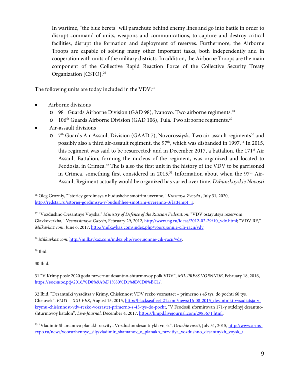In wartime, "the blue berets" will parachute behind enemy lines and go into battle in order to disrupt command of units, weapons and communications, to capture and destroy critical facilities, disrupt the formation and deployment of reserves. Furthermore, the Airborne Troops are capable of solving many other important tasks, both independently and in cooperation with units of the military districts. In addition, the Airborne Troops are the main component of the Collective Rapid Reaction Force of the Collective Security Treaty Organization [CSTO].26

The following units are today included in the VDV:<sup>27</sup>

- Airborne divisions
	- o 98<sup>th</sup> Guards Airborne Division (GAD 98), Ivanovo. Two airborne regiments.<sup>28</sup>
	- o 106th Guards Airborne Division (GAD 106), Tula. Two airborne regiments.29
- Air-assault divisions

o 7<sup>th</sup> Guards Air Assault Division (GAAD 7), Novorossiysk. Two air-assault regiments<sup>30</sup> and possibly also a third air-assault regiment, the 97<sup>th</sup>, which was disbanded in 1997.<sup>31</sup> In 2015, this regiment was said to be resurrected; and in December 2017, a battalion, the  $171<sup>st</sup> Air$ Assault Battalion, forming the nucleus of the regiment, was organized and located to Feodosia, in Crimea.<sup>32</sup> The is also the first unit in the history of the VDV to be garrisoned in Crimea, something first considered in 2015.<sup>33</sup> Information about when the  $97<sup>th</sup>$  Air-Assault Regiment actually would be organized has varied over time. *Dzhanskoyskie Novosti*

 $29$  Ibid.

30 Ibid.

31 "V Krimy posle 2020 goda razvernut desantno-shturmovoy polk VDV", *MIL.PRESS VOENNOE*, February 18, 2016, https://военное.рф/2016/%D0%9A%D1%80%D1%8B%D0%BC1/.

32 Ibid, "Desantniki vysaditsa v Krimy. Chislennost VDV rezko vozrastaet – primerno s 45 tys. do pochti 60 tys. Chelovek", *FLOT – XXI VEK*, August 15, 2015, http://blackseafleet-21.com/news/16-08-2015\_desantniki-vysadjatsja-vkrymu-chislennost-vdv-rezko-vozrastet-primerno-s-45-tys-do-pocht, "V Feodosii sformirovan 171-y otdelnyj desantnoshturmovoy batalon", *Live-Journal*, December 4, 2017, https://bmpd.livejournal.com/2985671.html.

<sup>33</sup> "Vladimir Shamanovo planakh razvitya Vozdushnodesantnykh vojsk", *Oruzhie rossii*, July 31, 2015, http://www.armsexpo.ru/news/vooruzhennye\_sily/vladimir\_shamanov\_o\_planakh\_razvitiya\_vozdushno\_desantnykh\_voysk\_/.

<sup>26</sup> Oleg Grozniy, "Istoriey gordimsya v budushche smotrim uvernno," *Krasnaya Zvezda* , July 31, 2020, http://redstar.ru/istoriej-gordimsya-v-budushhee-smotrim-uverenno-3/?attempt=1.

<sup>27 &</sup>quot;Vozdushno-Desantnye Voyska," *Ministry of Defense of the Russian Federation*; "VDV ostayutsya rezervom Glavkoverkha," *Nezavisimaya Gazeta*, February 29, 2012, http://www.ng.ru/ideas/2012-02-29/10\_vdv.html; "VDV RF," *Milkavkaz.com*, June 6, 2017, http://milkavkaz.com/index.php/voorujonnie-cili-racii/vdv.

<sup>28</sup> *Milkavkaz.com*, http://milkavkaz.com/index.php/voorujonnie-cili-racii/vdv.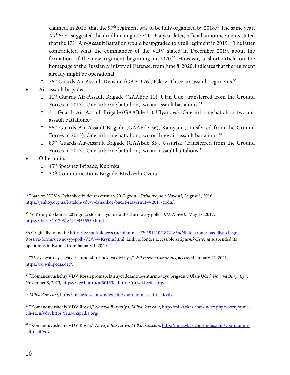claimed, in 2016, that the 97<sup>th</sup> regiment was to be fully organized by 2018.<sup>34</sup> The same year, *Mil.Press* suggested the deadline might be 2019; a year later, official announcements stated that the 171<sup>st</sup> Air-Assault Battalion would be upgraded to a full regiment in 2019.<sup>35</sup> The latter contradicted what the commander of the VDV stated in December 2019, about the formation of the new regiment beginning in 2020.36 However, a short article on the homepage of the Russian Ministry of Defense, from June 8, 2020, indicates that the regiment already might be operational.

- o 76th Guards Air Assault Division (GAAD 76), Pskov. Three air-assault regiments.37
- Air-assault brigades
	- o 11th Guards Air-Assault Brigade (GAABde 11), Ulan Ude (transferred from the Ground Forces in 2013). One airborne battalion, two air assault battalions.<sup>38</sup>
	- o 31st Guards Air-Assault Brigade (GAABde 31), Ulyanovsk. One airborne battalion, two airassault battalions.39
	- o 56th Guards Air-Assault Brigade (GAABde 56), Kamysin (transferred from the Ground Forces in 2013). One airborne battalion, two or three air-assault battalions.<sup>40</sup>
	- o 83rd Guards Air-Assault Brigade (GAABde 83), Ussurisk (transferred from the Ground Forces in 2013). One airborne battalion, two air-assault battalions.<sup>41</sup>
- Other units
	- o 45th Spetsnaz Brigade, Kubinka
	- o 30th Communications Brigade, Medvezhi Ozera

36 Originally found in: https://ee.sputniknews.ru/columnists/20191210/18721856/Nikto-krome-nas-dlya-chego-Rossiya-formiruet-novyy-polk-VDV-v-Krymu.html. Link no longer accessible as *Sputnik-Estonia* suspended its operations in Estonia from January 1, 2020.

37 "76-aya gvardeyskaya desantno-shturmovaya diviziya," *Wikimedia Commons*, accessed January 17, 2021, https://ru.wikipedia.org/.

38 "Komanduyushchiy VDV Rossii proinspektiruyet desantno-shturmovuyu brigadu v Ulan-Ude," *Novaya Buryatiya*, November 8, 2013, https://newbur.ru/n/30153/, https://ru.wikipedia.org/.

 34 "Batalon VDV v Dzhankoe budet razvernut v 2017 godu", *Dzhankoyskie Novosti*, August 1, 2016, https://jankoy.org.ua/batalon-vdv-v-dzhankoe-budet-razvernut-v-2017-godu/.

<sup>35 &</sup>quot;V Krimy do kontsa 2019 goda sformiruyut desanto-sturmovoy polk," *RIA Novosti*, May 18, 2017, https://ria.ru/20170518/1494555530.html.

<sup>39</sup> *Milkavkaz.com*, http://milkavkaz.com/index.php/voorujonnie-cili-racii/vdv.

<sup>40 &</sup>quot;Komanduyushchiy VDV Rossii," *Novaya Buryatiya*, *Milkavkaz.com*, http://milkavkaz.com/index.php/voorujonniecili-racii/vdv, https://ru.wikipedia.org/.

<sup>41 &</sup>quot;Komanduyushchiy VDV Rossii," *Novaya Buryatiya*, *Milkavkaz.com*, http://milkavkaz.com/index.php/voorujonniecili-racii/vdv.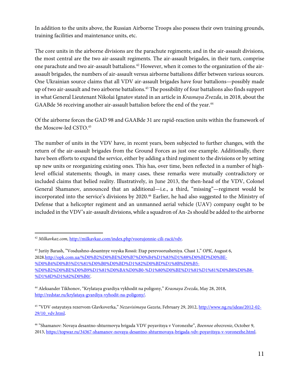In addition to the units above, the Russian Airborne Troops also possess their own training grounds, training facilities and maintenance units, etc.

The core units in the airborne divisions are the parachute regiments; and in the air-assault divisions, the most central are the two air-assault regiments. The air-assault brigades, in their turn, comprise one parachute and two air-assault battalions.<sup>42</sup> However, when it comes to the organization of the airassault brigades, the numbers of air-assault versus airborne battalions differ between various sources. One Ukrainian source claims that all VDV air-assault brigades have four battalions—possibly made up of two air-assault and two airborne battalions.43 The possibility of four battalions also finds support in what General Lieutenant Nikolai Ignatov stated in an article in *Krasnaya Zvezda*, in 2018, about the GAABde 56 receiving another air-assault battalion before the end of the year.<sup>44</sup>

Of the airborne forces the GAD 98 and GAABde 31 are rapid-reaction units within the framework of the Moscow-led CSTO.<sup>45</sup>

The number of units in the VDV have, in recent years, been subjected to further changes, with the return of the air-assault brigades from the Ground Forces as just one example. Additionally, there have been efforts to expand the service, either by adding a third regiment to the divisions or by setting up new units or reorganizing existing ones. This has, over time, been reflected in a number of highlevel official statements; though, in many cases, these remarks were mutually contradictory or included claims that belied reality. Illustratively, in June 2013, the then-head of the VDV, Colonel General Shamanov, announced that an additional—i.e., a third, "missing"—regiment would be incorporated into the service's divisions by 2020.<sup>46</sup> Earlier, he had also suggested to the Ministry of Defense that a helicopter regiment and an unmanned aerial vehicle (UAV) company ought to be included in the VDV's air-assault divisions, while a squadron of An-2s should be added to the airborne

<sup>42</sup> *Milkavkaz.com*, http://milkavkaz.com/index.php/voorujonnie-cili-racii/vdv.

<sup>43</sup> Juriiy Barash, "Vosdushno-desantnye voyska Rossii: Etap perevoorusheniya. Chast 1," *OPK*, August 6, 2028.http://opk.com.ua/%D0%B2%D0%BE%D0%B7%D0%B4%D1%83%D1%88%D0%BD%D0%BE- %D0%B4%D0%B5%D1%81%D0%B0%D0%BD%D1%82%D0%BD%D1%8B%D0%B5- %D0%B2%D0%BE%D0%B9%D1%81%D0%BA%D0%B0-%D1%80%D0%BE%D1%81%D1%81%D0%B8%D0%B8- %D1%8D%D1%82%D0%B0/.

<sup>44</sup> Aleksander Tikhonov, "Krylataya gvardiya vykhodit na poligony," *Krasnaya Zvezda*, May 28, 2018, http://redstar.ru/krylataya-gvardiya-vyhodit-na-poligony/.

<sup>45 &</sup>quot;VDV ostayutsya rezervom Glavkoverka," *Nezavisimaya Gazeta*, February 29, 2012, http://www.ng.ru/ideas/2012-02- 29/10\_vdv.html.

<sup>46 &</sup>quot;Shamanov: Novaya desantno-shturmovya brigada VDV poyavitsya v Voronezhe", *Boennoe obozrenie*, October 9, 2013, https://topwar.ru/34367-shamanov-novaya-desantno-shturmovaya-brigada-vdv-poyavitsya-v-voronezhe.html.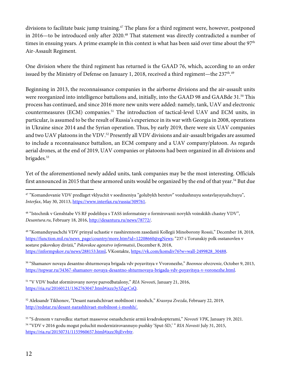divisions to facilitate basic jump training.<sup>47</sup> The plans for a third regiment were, however, postponed in 2016—to be introduced only after 2020.<sup>48</sup> That statement was directly contradicted a number of times in ensuing years. A prime example in this context is what has been said over time about the 97<sup>th</sup> Air-Assault Regiment.

One division where the third regiment has returned is the GAAD 76, which, according to an order issued by the Ministry of Defense on January 1, 2018, received a third regiment—the 237<sup>th</sup>.<sup>49</sup>

Beginning in 2013, the reconnaissance companies in the airborne divisions and the air-assault units were reorganized into intelligence battalions and, initially, into the GAAD 98 and GAABde 31.<sup>50</sup> This process has continued, and since 2016 more new units were added: namely, tank, UAV and electronic countermeasures (ECM) companies.<sup>51</sup> The introduction of tactical-level UAV and ECM units, in particular, is assumed to be the result of Russia's experience in its war with Georgia in 2008, operations in Ukraine since 2014 and the Syrian operation. Thus, by early 2019, there were six UAV companies and two UAV platoons in the VDV.<sup>52</sup> Presently all VDV divisions and air-assault brigades are assumed to include a reconnaissance battalion, an ECM company and a UAV company/platoon. As regards aerial drones, at the end of 2019, UAV companies or platoons had been organized in all divisions and brigades.<sup>53</sup>

Yet of the aforementioned newly added units, tank companies may be the most interesting. Officials first announced in 2015 that these armored units would be organized by the end of that year.<sup>54</sup> But due

48 "Istochnik v Genshtabe VS RF podelilsya s TASS informatsiey o formirovanii novykh voinskikh chastey VDV", *Desantura.ru*, February 18, 2016, http://desantura.ru/news/78772/.

49 "Komanduyuschchi VDV prinyal uchastie v rasshirennom zasedanii Kollegii Minoborony Rossii," December 18, 2018, https://function.mil.ru/news\_page/country/more.htm?id=12208660@egNews; "237-i Torunskiy polk osstanovlen v sostave pskovskoy divizii," *Pskovskoe agenstvo informatsii*, December 8, 2018, https://informpskov.ru/news/288153.html, VKontakte, https://vk.com/komdiv76?w=wall-2499828\_30488.

50 "Shamanov novaya desantno shturmovaya brigada vdv poyavitsya v Vvoronezhe," *Boennoe obozrenie*, October 9, 2013, https://topwar.ru/34367-shamanov-novaya-desantno-shturmovaya-brigada-vdv-poyavitsya-v-voronezhe.html.

51 "V VDV budut sformirovany novye pazvedbatalony," *RIA Novosti*, January 21, 2016, https://ria.ru/20160121/1362763047.html#ixzz3y3ZqvCsQ.

52 Aleksandr Tikhonov, "Desant narashchivaet mobilnost i moshch," *Krasnya Zvezda*, February 22, 2019, http://redstar.ru/desant-narashhivaet-mobilnost-i-moshh/.

<sup>47 &</sup>quot;Komandovanie VDV predlaget vklyuchit v soedineniya "golubykh beretov" vozdushnuyu sostavlayayushchuyu", *Interfax*, May 30, 20113, https://www.interfax.ru/russia/309761.

<sup>53 &</sup>quot;S dronom v razvedku: startuet massovoe osnashchenie armii kvadrokopterami," *Novosti VPK*, January 19, 2021. 54 "VDV v 2016 godu mogut poluchit modernizirovannuyo pushky 'Sput-SD,' " *RIA Novosti* July 31, 2015, https://ria.ru/20150731/1155960657.html#ixzz3hjEvvbtr.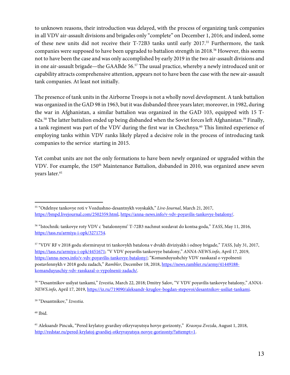to unknown reasons, their introduction was delayed, with the process of organizing tank companies in all VDV air-assault divisions and brigades only "complete" on December 1, 2016; and indeed, some of these new units did not receive their T-72B3 tanks until early 2017.<sup>55</sup> Furthermore, the tank companies were supposed to have been upgraded to battalion strength in 2018.<sup>56</sup> However, this seems not to have been the case and was only accomplished by early 2019 in the two air-assault divisions and in one air-assault brigade—the GAABde 56.<sup>57</sup> The usual practice, whereby a newly introduced unit or capability attracts comprehensive attention, appears not to have been the case with the new air-assault tank companies. At least not initially.

The presence of tank units in the Airborne Troops is not a wholly novel development. A tank battalion was organized in the GAD 98 in 1963, but it was disbanded three years later; moreover, in 1982, during the war in Afghanistan, a similar battalion was organized in the GAD 103, equipped with 15 T-62s.58 The latter battalion ended up being disbanded when the Soviet forces left Afghanistan.59 Finally, a tank regiment was part of the VDV during the first war in Chechnya.<sup>60</sup> This limited experience of employing tanks within VDV ranks likely played a decisive role in the process of introducing tank companies to the service starting in 2015.

Yet combat units are not the only formations to have been newly organized or upgraded within the VDV. For example, the 150<sup>th</sup> Maintenance Battalion, disbanded in 2010, was organized anew seven years later.<sup>61</sup>

57 "VDV RF v 2018 godu sformiruyut tri tankovykh batalona v dvukh diviziyakh i odnoy brigade," *TASS*, July 31, 2017, https://tass.ru/armiya-i-opk/4451671; "V VDV poyavilis tankovyye batalony," *ANNA-NEWS.info*, April 17, 2019, https://anna-news.info/v-vdv-poyavilis-tankovye-batalony/; "Komanduyushchiy VDV rasskazal o vypolnenii postavlennykh v 2018 godu zadach," *Rambler*, December 18, 2018, https://news.rambler.ru/army/41449188 komanduyuschiy-vdv-rasskazal-o-vypolnenii-zadach/.

58 "Desantnikov usilyat tankami," *Izvestia*, March 22, 2018; Dmitry Salov, "V VDV poyavilis tankovye batalony," *ANNA-NEWS.info*, April 17, 2019, https://iz.ru/719090/aleksandr-kruglov-bogdan-stepovoi/desantnikov-usiliat-tankami.

59 "Desantnikov," *Izvestia*.

 $60$  Ibid.

<sup>55 &</sup>quot;Otdelnye tankovye roti v Vozdushno-desantnykh voyskakh," *Live-Journal*, March 21, 2017, https://bmpd.livejournal.com/2502359.html, https://anna-news.info/v-vdv-poyavilis-tankovye-batalony/.

<sup>56 &</sup>quot;Istochnik: tankovye roty VDV c 'batalonnymi' T-72B3 nachnut sozdavat do kontsa goda," *TASS*, May 11, 2016, https://tass.ru/armiya-i-opk/3271754.

<sup>61</sup> Aleksandr Pincuk, "Pered krylatoy gvardiey otkryvayutsya hovye gorizonty," *Krasnya Zvezda*, August 1, 2018, http://redstar.ru/pered-krylatoj-gvardiej-otkryvayutsya-novye-gorizonty/?attempt=1.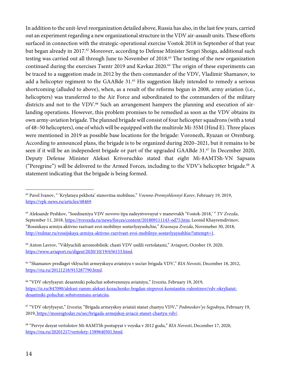In addition to the unit-level reorganization detailed above, Russia has also, in the last few years, carried out an experiment regarding a new organizational structure in the VDV air-assault units. These efforts surfaced in connection with the strategic-operational exercise Vostok 2018 in September of that year but began already in 2017.<sup>62</sup> Moreover, according to Defense Minister Sergei Shoigu, additional such testing was carried out all through June to November of 2018.63 The testing of the new organization continued during the exercises Tsentr 2019 and Kavkaz 2020.<sup>64</sup> The origin of these experiments can be traced to a suggestion made in 2012 by the then-commander of the VDV, Vladimir Shamanov, to add a helicopter regiment to the GAABde 31.<sup>65</sup> His suggestion likely intended to remedy a serious shortcoming (alluded to above), when, as a result of the reforms begun in 2008, army aviation (i.e., helicopters) was transferred to the Air Force and subordinated to the commanders of the military districts and not to the VDV.<sup>66</sup> Such an arrangement hampers the planning and execution of airlanding operations. However, this problem promises to be remedied as soon as the VDV obtains its own army-aviation brigade. The planned brigade will consist of four helicopter squadrons (with a total of 48–50 helicopters), one of which will be equipped with the multirole Mi-35M (Hind E). Three places were mentioned in 2019 as possible base locations for the brigade: Voronezh, Ryazan or Orenburg. According to announced plans, the brigade is to be organized during 2020–2021, but it remains to be seen if it will be an independent brigade or part of the upgraded GAABde 31.<sup>67</sup> In December 2020, Deputy Defense Minister Aleksei Krivoruchko stated that eight Mi-8AMTSh-VN Sapsans ("Peregrine") will be delivered to the Armed Forces, including to the VDV's helicopter brigade.<sup>68</sup> A statement indicating that the brigade is being formed.

<sup>62</sup> Pavel Ivanov, " 'Krylataya pekhota' stanovitsa mobilnee," *Voenno-Promyshlennyi Kurer*, February 19, 2019, https://vpk-news.ru/articles/48469.

<sup>63</sup> Aleksandr Peshkov, "Soedineniya VDV novovo tipa zadeystvovuyut v manevrakh 'Vostok-2018,' " *TV Zvezda*, September 11, 2018, https://tvzvezda.ru/news/forces/content/201809111143-od75.htm; Leonid Khayremdivinov, "Rossiskaya armiya aktivno razivaet svoi mobilnye sostavlyayushchie," *Krasnaya Zvezda*, Novemeber 30, 2018, http://redstar.ru/rossijskaya-armiya-aktivno-razvivaet-svoi-mobilnye-sostavlyayushhie/?attempt=1.

<sup>64</sup> Anton Lavrov, "Viklyuchili aeromobilnik: chasti VDV usilili vertolatami," Aviaport, October 19, 2020, https://www.aviaport.ru/digest/2020/10/19/656153.html.

<sup>65 &</sup>quot;Shamanov predlaget vklyuchit armeyskuyu aviatsiyu v soctav brigada VDV," *RIA Novosti*, December 18, 2012, https://ria.ru/20121218/915287790.html.

<sup>66 &</sup>quot;VDV okrylyayut: desantniki poluchat sobstvennuyu aviatsiyu," *Izvestia*, February 19, 2019, https://iz.ru/847090/aleksei-ramm-aleksei-kozachenko-bogdan-stepovoi-konstantin-valentinov/vdv-okryliaiutdesantniki-poluchat-sobstvennuiu-aviatciiu.

<sup>67 &</sup>quot;VDV okrylyayut," *Izvestia*; "Brigada armeyskoy aviatsii stanet chastyu VDV," *Podmoskov'ye Segodnya*, February 19, 2019, https://mosregtoday.ru/sec/brigada-armejskoj-aviacii-stanet-chastyu-vdv/.

<sup>68 &</sup>quot;Pervye desyat vertolotov Mi-8AMTSh postupyat v voyska v 2012 godu," *RIA Novosti*, December 17, 2020, https://ria.ru/20201217/vertolety-1589640501.html.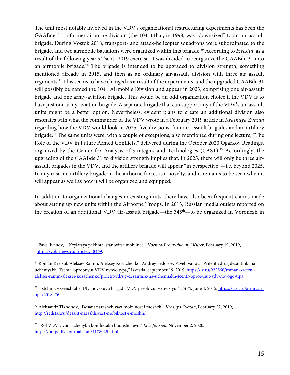The unit most notably involved in the VDV's organizational restructuring experiments has been the GAABde 31, a former airborne division (the 104<sup>th</sup>) that, in 1998, was "downsized" to an air-assault brigade. During Vostok 2018, transport- and attack-helicopter squadrons were subordinated to the brigade, and two airmobile battalions were organized within this brigade.<sup>69</sup> According to *Izvestia*, as a result of the following year's Tsentr 2019 exercise, it was decided to reorganize the GAABde 31 into an airmobile brigade.<sup>70</sup> The brigade is intended to be upgraded to division strength, something mentioned already in 2015, and then as an ordinary air-assault division with three air assault regiments.<sup>71</sup> This seems to have changed as a result of the experiments, and the upgraded GAABde 31 will possibly be named the 104<sup>th</sup> Airmobile Division and appear in 2023, comprising one air-assault brigade and one army-aviation brigade. This would be an odd organization choice if the VDV is to have just one army-aviation brigade. A separate brigade that can support any of the VDV's air-assault units might be a better option. Nevertheless, evident plans to create an additional division also resonates with what the commander of the VDV wrote in a February 2019 article in *Krasnaya Zvezda* regarding how the VDV would look in 2025: five divisions, four air-assault brigades and an artillery brigade.72 The same units were, with a couple of exceptions, also mentioned during one lecture, "The Role of the VDV in Future Armed Conflicts," delivered during the October 2020 Ogarkov Readings, organized by the Center for Analysis of Strategies and Technologies (CAST).73 Accordingly, the upgrading of the GAABde 31 to division strength implies that, in 2025, there will only be three airassault brigades in the VDV, and the artillery brigade will appear "in perspective"—i.e. beyond 2025. In any case, an artillery brigade in the airborne forces is a novelty, and it remains to be seen when it will appear as well as how it will be organized and equipped.

In addition to organizational changes in existing units, there have also been frequent claims made about setting up new units within the Airborne Troops. In 2013, Russian media outlets reported on the creation of an additional VDV air-assault brigade—the 345<sup>th</sup>—to be organized in Voronezh in

<sup>69</sup> Pavel Ivanov, " 'Krylataya pekhota' stanovitsa mobilnee," *Voenno-Promyshlennyi Kurer*, February 19, 2019, "https://vpk-news.ru/articles/48469.

<sup>70</sup> Roman Kretsul, Aleksey Ramm, Aleksey Kozachenko, Andrey Fedorov, Pavel Ivanov, "Priletit vdrug desantnik: na ucheniyakh 'Tsentr' oprobuyut VDV nvovo typa," Izvestia, September 19, 2019, https://iz.ru/922566/roman-kretculaleksei-ramm-aleksei-kozachenko/priletit-vdrug-desantnik-na-ucheniiakh-tcentr-oprobuiut-vdv-novogo-tipa.

<sup>71 &</sup>quot;Istchnik v Genshtabe: Ulyanovskuyu brigadu VDV preobrzut v diviziyu," *TASS*, June 4, 2015, https://tass.ru/armiya-iopk/2018476.

<sup>72</sup> Aleksandr Tikhonov, "Desant narashchivaet mobilnost i moshch," *Krasnya Zvezda*, February 22, 2019, http://redstar.ru/desant-narashhivaet-mobilnost-i-moshh/.

<sup>73 &</sup>quot;Rol VDV v vooruzhenykh konfliktakh budushchevo," *Live Journal*, November 2, 2020, https://bmpd.livejournal.com/4178025.html.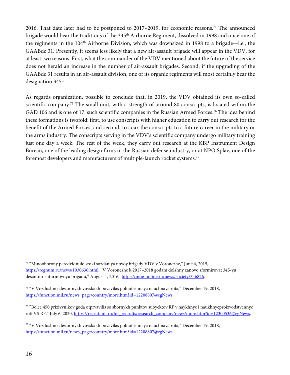2016. That date later had to be postponed to 2017-2019, for economic reasons.<sup>74</sup> The announced brigade would bear the traditions of the 345<sup>th</sup> Airborne Regiment, dissolved in 1998 and once one of the regiments in the  $104<sup>th</sup>$  Airborne Division, which was downsized in 1998 to a brigade—i.e., the GAABde 31. Presently, it seems less likely that a new air-assault brigade will appear in the VDV, for at least two reasons. First, what the commander of the VDV mentioned about the future of the service does not herald an increase in the number of air-assault brigades. Second, if the upgrading of the GAABde 31 results in an air-assault division, one of its organic regiments will most certainly bear the designation 345<sup>th</sup>.

As regards organization, possible to conclude that, in 2019, the VDV obtained its own so-called scientific company.<sup>75</sup> The small unit, with a strength of around 80 conscripts, is located within the GAD 106 and is one of 17 such scientific companies in the Russian Armed Forces.<sup>76</sup> The idea behind these formations is twofold: first, to use conscripts with higher education to carry out research for the benefit of the Armed Forces, and second, to coax the conscripts to a future career in the military or the arms industry. The conscripts serving in the VDV's scientific company undergo military training just one day a week. The rest of the week, they carry out research at the KBP Instrument Design Bureau, one of the leading design firms in the Russian defense industry, or at NPO Splav, one of the foremost developers and manufacturers of multiple-launch rocket systems.<sup>77</sup>

<sup>74 &</sup>quot;Minooborony peredvidnulo sroki sozdaniya novoy brigady VDV v Voronezhe," June 4, 2015, https://regnum.ru/news/1930636.html; "V Voronezhe k 2017–2018 godam dolzhny zanovo sformirovat 345-yu desantno-shturmovuyu brigadu," August 1, 2016, https://moe-online.ru/news/society/346826.

<sup>75 &</sup>quot;V Vozdushno-desantnykh voyskakh poyavilas polnotsennaya nauchnaya rota," December 19, 2018, https://function.mil.ru/news\_page/country/more.htm?id=12208807@egNews.

<sup>76 &</sup>quot;Bolee 450 priziyvnikov goda otprvavilis so sbornykh punktov subyektov RF v naykhnye i naukhnyeproizvodstvennye roti VS RF," July 6, 2020, https://recrut.mil.ru/for\_recruits/research\_company/news/more.htm?id=12300536@egNews.

<sup>77 &</sup>quot;V Vozdushno-desantnykh voyskakh poyavilas polnotsennaya nauchnaya rota," December 19, 2018, https://function.mil.ru/news\_page/country/more.htm?id=12208807@egNews.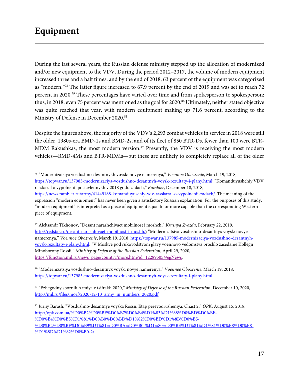## **Equipment**

During the last several years, the Russian defense ministry stepped up the allocation of modernized and/or new equipment to the VDV. During the period 2012–2017, the volume of modern equipment increased three and a half times, and by the end of 2018, 63 percent of the equipment was categorized as "modern."78 The latter figure increased to 67.9 percent by the end of 2019 and was set to reach 72 percent in 2020.79 These percentages have varied over time and from spokesperson to spokesperson; thus, in 2018, even 75 percent was mentioned as the goal for 2020.<sup>80</sup> Ultimately, neither stated objective was quite reached that year, with modern equipment making up 71.6 percent, according to the Ministry of Defense in December 2020.<sup>81</sup>

Despite the figures above, the majority of the VDV's 2,293 combat vehicles in service in 2018 were still the older, 1980s-era BMD-1s and BMD-2s; and of its fleet of 850 BTR-Ds, fewer than 100 were BTR-MDM Rakushkas, the most modern version.<sup>82</sup> Presently, the VDV is receiving the most modern vehicles—BMD-4Ms and BTR-MDMs—but these are unlikely to completely replace all of the older

 78 "Modernizatsiya vosdushno-desantnykh voysk: novye namerenya," *Voennoe Obozrenie*, March 19, 2018, https://topwar.ru/137985-modernizaciya-vozdushno-desantnyh-voysk-rezultaty-i-plany.html; "Komanduyushchiy VDV rasskazal o vypolnenii postavlennykh v 2018 godu zadach," *Rambler*, December 18, 2018, https://news.rambler.ru/army/41449188-komanduyuschiy-vdv-rasskazal-o-vypolnenii-zadach/. The meaning of the

expression "modern equipment" has never been given a satisfactory Russian explanation. For the purposes of this study, "modern equipment" is interpreted as a piece of equipment equal to or more capable than the corresponding Western piece of equipment.

<sup>79</sup> Aleksandr Tikhonov, "Desant narashchivaet mobilnost i moshch," *Krasnya Zvezda*, February 22, 2019, http://redstar.ru/desant-narashhivaet-mobilnost-i-moshh/; "Modernizatsiya vosdushno-desantnyx voysk: novye namerenya," *Voennoe Obozrenie*, March 19, 2018, https://topwar.ru/137985-modernizaciya-vozdushno-desantnyhvoysk-rezultaty-i-plany.html; "V Moskve pod rukovodstvom glavy voennovo vedomstva proshlo zasedanie Kollegii Minoborony Rossii," *Ministry of Defense of the Russian Federation*, April 29, 2020, https://function.mil.ru/news\_page/country/more.htm?id=12289505@egNews.

<sup>80 &</sup>quot;Modernizatsiya vosdushno-desantnyx voysk: novye namerenya," *Voennoe Obozrenie*, March 19, 2018, https://topwar.ru/137985-modernizaciya-vozdushno-desantnyh-voysk-rezultaty-i-plany.html.

<sup>81 &</sup>quot;Ezhegodny sbornik Armiya v tsifrakh 2020," *Ministry of Defense of the Russian Federation*, December 10, 2020, http://mil.ru/files/morf/2020-12-10\_army\_in\_numbers\_2020.pdf.

<sup>82</sup> Juriiy Barash, "Vosdushno-desantnye voyska Rossii: Etap perevoorusheniya. Chast 2," *OPK*, August 15, 2018, http://opk.com.ua/%D0%B2%D0%BE%D0%B7%D0%B4%D1%83%D1%88%D0%BD%D0%BE- %D0%B4%D0%B5%D1%81%D0%B0%D0%BD%D1%82%D0%BD%D1%8B%D0%B5- %D0%B2%D0%BE%D0%B9%D1%81%D0%BA%D0%B0-%D1%80%D0%BE%D1%81%D1%81%D0%B8%D0%B8- %D1%8D%D1%82%D0%B0-2/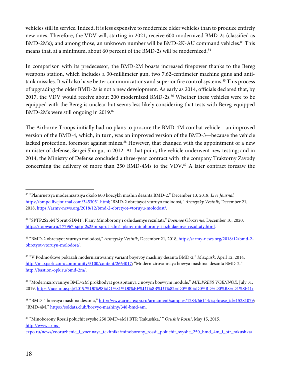vehicles still in service. Indeed, it is less expensive to modernize older vehicles than to produce entirely new ones. Therefore, the VDV will, starting in 2021, receive 600 modernized BMD-2s (classified as BMD-2Ms); and among those, an unknown number will be BMD-2K-AU command vehicles.<sup>83</sup> This means that, at a minimum, about 60 percent of the BMD-2s will be modernized.<sup>84</sup>

In comparison with its predecessor, the BMD-2M boasts increased firepower thanks to the Bereg weapons station, which includes a 30-millimeter gun, two 7.62-centimeter machine guns and antitank missiles. It will also have better communications and superior fire control systems.<sup>85</sup> This process of upgrading the older BMD-2s is not a new development. As early as 2014, officials declared that, by 2017, the VDV would receive about 200 modernized BMD-2s.<sup>86</sup> Whether these vehicles were to be equipped with the Bereg is unclear but seems less likely considering that tests with Bereg-equipped BMD-2Ms were still ongoing in 2019.<sup>87</sup>

The Airborne Troops initially had no plans to procure the BMD-4M combat vehicle—an improved version of the BMD-4, which, in turn, was an improved version of the BMD-3—because the vehicle lacked protection, foremost against mines.<sup>88</sup> However, that changed with the appointment of a new minister of defense, Sergei Shoigu, in 2012. At that point, the vehicle underwent new testing; and in 2014, the Ministry of Defense concluded a three-year contract with the company Traktorny Zavody concerning the delivery of more than 250 BMD-4Ms to the VDV.<sup>89</sup> A later contract foresaw the

<sup>83 &</sup>quot;Planiruetsya modernizatsiya okolo 600 boecykh mashin desanta BMD-2," December 13, 2018, *Live Journal,*  https://bmpd.livejournal.com/3453051.html; 'BMD-2 obretayot vturuyo molodost," *Armeysky Vestnik*, December 21, 2018, https://army-news.org/2018/12/bmd-2-obretyot-vtoruyu-molodost/.

<sup>84 &</sup>quot;SPTP2S25M 'Sprut-SDM1': Plany Minoborony i ozhidaemye rezultati," *Boennoe Obozrenie*, December 10, 2020, https://topwar.ru/177967-sptp-2s25m-sprut-sdm1-plany-minoborony-i-ozhidaemye-rezultaty.html.

<sup>85 &</sup>quot;BMD-2 obretayot vturuyo molodost," *Armeysky Vestnik*, December 21, 2018, https://army-news.org/2018/12/bmd-2 obretyot-vtoruyu-molodost/.

<sup>86 &</sup>quot;V Podmoskove pokazali modernizirovanny variant boyevoy mashiny desanta BMD-2," *Maxpark*, April 12, 2014, http://maxpark.com/community/5100/content/2664017; "Modernizirovannaya boevya mashina desanta BMD-2," http://bastion-opk.ru/bmd-2m/.

<sup>87 &</sup>quot;Modernizirovannye BMD-2M prokhodyat gosispitanya c novym boevvym module," *MIL.PRESS VOENNOE*, July 31, 2019, https://военное.рф/2019/%D0%98%D1%81%D0%BF%D1%8B%D1%82%D0%B0%D0%BD%D0%B8%D1%8F41/.

<sup>88 &</sup>quot;BMD-4 boevaya mashina desanta," http://www.arms-expo.ru/armament/samples/1284/66144/?sphrase\_id=15281079; "BMD-4M," https://soldats.club/boevye-mashiny/348-bmd-4m.

<sup>89 &</sup>quot;Minoborony Rossii poluchit svyshe 250 BMD-4M i BTR 'Rakushka,' " *Orushie Rossii*, May 15, 2015, http://www.arms-

expo.ru/news/vooruzhenie\_i\_voennaya\_tekhnika/minoborony\_rossii\_poluchit\_svyshe\_250\_bmd\_4m\_i\_btr\_rakushka/.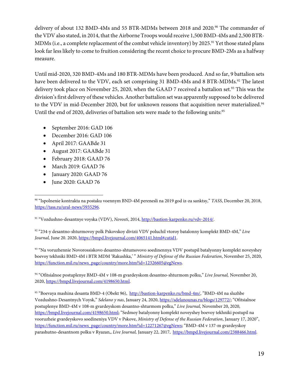delivery of about 132 BMD-4Ms and 55 BTR-MDMs between 2018 and 2020.<sup>90</sup> The commander of the VDV also stated, in 2014, that the Airborne Troops would receive 1,500 BMD-4Ms and 2,500 BTR-MDMs (i.e., a complete replacement of the combat vehicle inventory) by 2025.<sup>91</sup> Yet those stated plans look far less likely to come to fruition considering the recent choice to procure BMD-2Ms as a halfway measure.

Until mid-2020, 320 BMD-4Ms and 180 BTR-MDMs have been produced. And so far, 9 battalion sets have been delivered to the VDV, each set comprising 31 BMD-4Ms and 8 BTR-MDMs.<sup>92</sup> The latest delivery took place on November 25, 2020, when the GAAD 7 received a battalion set.<sup>93</sup> This was the division's first delivery of these vehicles. Another battalion set was apparently supposed to be delivered to the VDV in mid-December 2020, but for unknown reasons that acquisition never materialized.<sup>94</sup> Until the end of 2020, deliveries of battalion sets were made to the following units:<sup>95</sup>

- September 2016: GAD 106
- December 2016: GAD 106
- April 2017: GAABde 31
- August 2017: GAABde 31
- February 2018: GAAD 76
- March 2019: GAAD 76
- January 2020: GAAD 76
- June 2020: GAAD 76

91 "Vozdushno-desantnye voyska (VDV), *Novosti*, 2014, http://bastion-karpenko.ru/vdv-2014/.

92 "234-y desantno-shturmovoy polk Pskovskoy divizii VDV poluchil vtoroy batalonny komplekt BMD-4M," *Live Journal,* June 20. 2020, https://bmpd.livejournal.com/4065141.html#cutid1.

93 "Na voruzhennie Novorossiskovo desantno-shtumovovo soedinennya VDV postupil batalyonny komplekt noveyshey boevoy tekhniki BMD-4M i BTR MDM 'Rakushka,' " *Ministry of Defense of the Russian Federation*, November 25, 2020, https://function.mil.ru/news\_page/country/more.htm?id=12326605@egNews.

94 "Ofitsialnoe postuplenye BMD-4M v 108-m gvardeyskom desantno-shturmom polku," *Live Journal,* November 20, 2020, https://bmpd.livejournal.com/4198650.html.

95 "Boevaya mashina desanta BMD-4 (Obekt 96), http://bastion-karpenko.ru/bmd-4m/, "BMD-4M na sluzhbe Vozdushno-Desantnych Voysk," *Sdelano y nas*, January 24, 2020, https://sdelanounas.ru/blogs/129772/; "Ofitsialnoe postuplenye BMD-4M v 108-m gvardeyskom desantno-shturmom polku," *Live Journal,* November 20, 2020, https://bmpd.livejournal.com/4198650.html; "Sedmoy batalyonny komplekt noveyshey boevoy tekhniki postupil na vooruzheie gvardeyskovo soedineniya VDV v Pskove, *Ministry of Defense of the Russian Federation*, January 17, 2020", https://function.mil.ru/news\_page/country/more.htm?id=12271267@egNews; "BMD-4M v 137-m gvardeyskoy parashutno-desantnom polku v Ryazan,, *Live Journal,* January 22, 2017, https://bmpd.livejournal.com/2388466.html.

<sup>90 &</sup>quot;Ispolnenie kontrakta na postaku voennym BND-4M perenesli na 2019 god iz-za sanktsy," *TASS*, December 20, 2018, https://tass.ru/ural-news/5935296.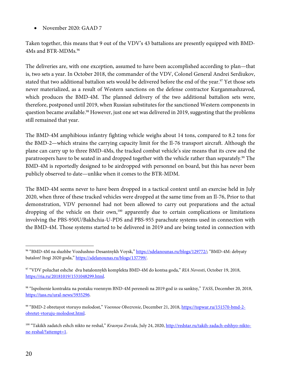• November 2020: GAAD 7

Taken together, this means that 9 out of the VDV's 43 battalions are presently equipped with BMD-4Ms and BTR-MDMs.<sup>96</sup>

The deliveries are, with one exception, assumed to have been accomplished according to plan—that is, two sets a year. In October 2018, the commander of the VDV, Colonel General Andrei Serdiukov, stated that two additional battalion sets would be delivered before the end of the year.<sup>97</sup> Yet those sets never materialized, as a result of Western sanctions on the defense contractor Kurganmashzavod, which produces the BMD-4M. The planned delivery of the two additional battalion sets were, therefore, postponed until 2019, when Russian substitutes for the sanctioned Western components in question became available.<sup>98</sup> However, just one set was delivered in 2019, suggesting that the problems still remained that year.

The BMD-4M amphibious infantry fighting vehicle weighs about 14 tons, compared to 8.2 tons for the BMD-2—which strains the carrying capacity limit for the Il-76 transport aircraft. Although the plane can carry up to three BMD-4Ms, the tracked combat vehicle's size means that its crew and the paratroopers have to be seated in and dropped together with the vehicle rather than separately.<sup>99</sup> The BMD-4M is reportedly designed to be airdropped with personnel on board, but this has never been publicly observed to date—unlike when it comes to the BTR-MDM.

The BMD-4M seems never to have been dropped in a tactical context until an exercise held in July 2020, when three of these tracked vehicles were dropped at the same time from an Il-76, Prior to that demonstration, VDV personnel had not been allowed to carry out preparations and the actual dropping of the vehicle on their own,<sup>100</sup> apparently due to certain complications or limitations involving the PBS-950U/Bakhchia-U-PDS and PBS-955 parachute systems used in connection with the BMD-4M. Those systems started to be delivered in 2019 and are being tested in connection with

<sup>96 &</sup>quot;BMD-4M na sluzhbe Vozdushno-Desantnykh Voysk," https://sdelanounas.ru/blogs/129772/; "BMD-4M: debyaty batalon! Itogi 2020 goda," https://sdelanounas.ru/blogs/137799/.

<sup>97 &</sup>quot;VDV poluchat eshche dva batalonnykh komplekta BMD-4M do kontsa goda," *RIA Novosti*, October 19, 2018, https://ria.ru/20181019/1531048299.html.

<sup>98 &</sup>quot;Ispolnenie kontrakta na postaku voennym BND-4M perenesli na 2019 god iz-za sanktsy," *TASS*, December 20, 2018, https://tass.ru/ural-news/5935296.

<sup>99 &</sup>quot;BMD-2 obretayot vtoruyo molodost," *Voennoe Obozrenie*, December 21, 2018, https://topwar.ru/151570-bmd-2 obretet-vtoruju-molodost.html.

<sup>100 &</sup>quot;Takikh zadatch eshch nikto ne reshal," *Krasnya Zvezda*, July 24, 2020, http://redstar.ru/takih-zadach-eshhyo-niktone-reshal/?attempt=1.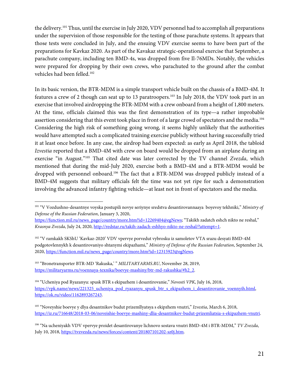the delivery.101 Thus, until the exercise in July 2020, VDV personnel had to accomplish all preparations under the supervision of those responsible for the testing of those parachute systems. It appears that those tests were concluded in July, and the ensuing VDV exercise seems to have been part of the preparations for Kavkaz 2020. As part of the Kavakaz strategic-operational exercise that September, a parachute company, including ten BMD-4s, was dropped from five Il-76MDs. Notably, the vehicles were prepared for dropping by their own crews, who parachuted to the ground after the combat vehicles had been felled.<sup>102</sup>

In its basic version, the BTR-MDM is a simple transport vehicle built on the chassis of a BMD-4M. It features a crew of 2 though can seat up to 13 paratroopers.103 In July 2018, the VDV took part in an exercise that involved airdropping the BTR-MDM with a crew onboard from a height of 1,800 meters. At the time, officials claimed this was the first demonstration of its type—a rather improbable assertion considering that this event took place in front of a large crowd of spectators and the media.<sup>104</sup> Considering the high risk of something going wrong, it seems highly unlikely that the authorities would have attempted such a complicated training exercise publicly without having successfully tried it at least once before. In any case, the airdrop had been expected: as early as April 2018, the tabloid *Izvestia* reported that a BMD-4M with crew on board would be dropped from an airplane during an exercise "in August."105 That cited date was later corrected by the TV channel *Zvezda*, which mentioned that during the mid-July 2020, exercise both a BMD-4M and a BTR-MDM would be dropped with personnel onboard.106 The fact that a BTR-MDM was dropped publicly instead of a BMD-4M suggests that military officials felt the time was not yet ripe for such a demonstration involving the advanced infantry fighting vehicle—at least not in front of spectators and the media.

<sup>101 &</sup>quot;V Vozdushno-desantnye voyska postupili novye seriynye sredstva desantirovannaaya boyevoy tekhniki," *Ministry of Defense of the Russian Federation*, January 3, 2020,

https://function.mil.ru/news\_page/country/more.htm?id=12269404@egNews; "Takikh zadatch eshch nikto ne reshal," *Krasnya Zvezda*, July 24, 2020, http://redstar.ru/takih-zadach-eshhyo-nikto-ne-reshal/?attempt=1.

<sup>102 &</sup>quot;V ramkakh SKShU 'Kavkaz-2020' VDV vpervye porvedut vybrosku iz samoletov VTA srazu desyati BMD-4M podgotovlennykh k desantirovaniyo shtanymi ekipazhami," *Ministry of Defense of the Russian Federation*, September 24, 2020, https://function.mil.ru/news\_page/country/more.htm?id=12315923@egNews.

<sup>103 &</sup>quot;Bronetransporter BTR-MD 'Rakuska,' " *MILITARYARMS.RU*, November 28, 2019, https://militaryarms.ru/voennaya-texnika/boevye-mashiny/btr-md-rakushka/#h2\_2.

<sup>104 &</sup>quot;Ucheniya pod Ryazanyu: spusk BTR s ekipazhem i desantirovanie," *Novosti VPK*, July 16, 2018, https://vpk.name/news/221325\_ucheniya\_pod\_ryazanyu\_spusk\_btr\_s\_ekipazhem\_i\_desantirovanie\_voennyih.html, https://ok.ru/video/1162893267243.

<sup>105 &</sup>quot;Noveyshie boevye y dlya desantnikov budut prizemllyatsya s ekipzhem vnutri," *Izvestia*, March 6, 2018, https://iz.ru/716648/2018-03-06/noveishie-boevye-mashiny-dlia-desantnikov-budut-prizemliatsia-s-ekipazhem-vnutri.

<sup>106 &</sup>quot;Na ucheniyakh VDV vpervye proidet desantirovanye lichnovo sostava vnutri BMD-4M i BTR-MDM," *TV Zvezda*, July 10, 2018, https://tvzvezda.ru/news/forces/content/201807101202-sz0j.htm.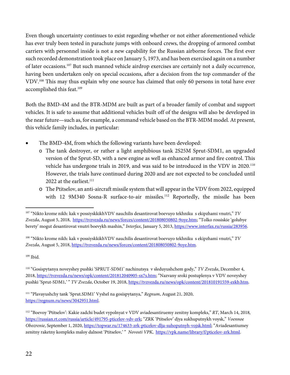Even though uncertainty continues to exist regarding whether or not either aforementioned vehicle has ever truly been tested in parachute jumps with onboard crews, the dropping of armored combat carriers with personnel inside is not a new capability for the Russian airborne forces. The first ever such recorded demonstration took place on January 5, 1973, and has been exercised again on a number of later occasions.107 But such manned vehicle airdrop exercises are certainly not a daily occurrence, having been undertaken only on special occasions, after a decision from the top commander of the VDV.108 This may thus explain why one source has claimed that only 60 persons in total have ever accomplished this feat.<sup>109</sup>

Both the BMD-4M and the BTR-MDM are built as part of a broader family of combat and support vehicles. It is safe to assume that additional vehicles built off of the designs will also be developed in the near future—such as, for example, a command vehicle based on the BTR-MDM model. At present, this vehicle family includes, in particular:

- The BMD-4M, from which the following variants have been developed:
	- o The tank destroyer, or rather a light amphibious tank 2S25M Sprut-SDM1, an upgraded version of the Sprut-SD, with a new engine as well as enhanced armor and fire control. This vehicle has undergone trials in 2019, and was said to be introduced in the VDV in 2020.110 However, the trials have continued during 2020 and are not expected to be concluded until 2022 at the earliest. $111$
	- o The Ptitselov, an anti-aircraft missile system that will appear in the VDV from 2022, equipped with 12 9M340 Sosna-R surface-to-air missiles.<sup>112</sup> Reportedly, the missile has been

 $109$  Ibid.

110 "Gosispytanya noveyshey pushki 'SPRUT-SDM1' nachinutsya v sleduyushchem gody," *TV Zvezda*, December 4, 2018, https://tvzvezda.ru/news/opk/content/201812040905-sx7s.htm; "Nazvany sroki postuplenya v VDV noveyshey pushki 'Sprut-SDM1,' " *TV Zvezda*, October 19, 2018, https://tvzvezda.ru/news/opk/content/201810191559-ezkb.htm.

111 "Plavayushchy tank 'Sprut.SDM1' Vyshel na gosispytanya," *Regnum*, August 21, 2020, https://regnum.ru/news/3042951.html.

<sup>107 &</sup>quot;Nikto krome nikh: kak v possiyskkikhVDV nauchilis desantirovat boevuyo tekhniku s ekipzhami vnutri," *TV*  Zvezda, August 5, 2018, https://tvzvezda.ru/news/forces/content/201808050802-9oye.htm; "Tolko rossiskie 'golubye berety' mogut desantirovat vnutri boevykh mashin," *Interfax*, January 5, 2013, https://www.interfax.ru/russia/283956.

<sup>108 &</sup>quot;Nikto krome nikh: kak v possiyskkikhVDV nauchilis desantirovat boevuyo tekhniku s ekipzhami vnutri," *TV Zvezda*, August 5, 2018, https://tvzvezda.ru/news/forces/content/201808050802-9oye.htm.

<sup>112 &</sup>quot;Boevoy 'Ptitselov': Kakie zadchi budet vypolnyat v VDV aviadesantiruemy zenitny kompleks," *RT*, March 14, 2018*,*  https://russian.rt.com/russia/article/491795-pticelov-vdv-zrk; "ZRK 'Ptitselov' djya sukhuputnykh voysk," *Voennoe Obozrenie*, September 1, 2020, https://topwar.ru/174633-zrk-pticelov-dlja-suhoputnyh-vojsk.html; "Aviadesantiumey zenitny raketny kompleks maloy dalnost 'Ptitselov,' " *Novosti VPK*, https://vpk.name/library/f/pticelov-zrk.html.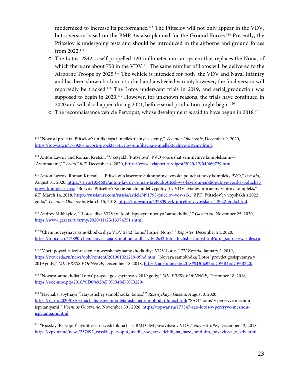modernized to increase its performance.<sup>113</sup> The Ptitselov will not only appear in the VDV, but a version based on the BMP-3is also planned for the Ground Forces.<sup>114</sup> Presently, the Ptitselov is undergoing tests and should be introduced in the airborne and ground forces from 2022.115

- o The Lotos, 2S42, a self-propelled 120-millimeter mortar system that replaces the Nona, of which there are about 750 in the VDV.<sup>116</sup> The same number of Lotos will be delivered to the Airborne Troops by 2025.117 The vehicle is intended for both the VDV and Naval Infantry and has been shown both in a tracked and a wheeled variant; however, the final version will reportedly be tracked.<sup>118</sup> The Lotos underwent trials in 2019, and serial\_production was supposed to begin in 2020.<sup>119</sup> However, for unknown reasons, the trials have continued in 2020 and will also happen during 2021, before serial production might begin.<sup>120</sup>
- o The reconnaissance vehicle Pervoput, whose development is said to have begun in 2018.121

115 Anton Lavrov, Roman Kretsul, " 'Ptitselov' s laserom: Sukhupotnye voyska poluchat novy kompleks PVO," *Izvestia*, August 31, 2020, https://iz.ru/1054601/anton-lavrov-roman-kretcul/ptitcelov-s-lazerom-sukhoputnye-voiska-poluchatnovyi-kompleks-pvo; "Boevoy 'Ptitselov': Kakie zadchi budet vypolnyat v VDV aviadesantiruemy zenitny kompleks," *RT*, March 14, 2018, https://russian.rt.com/russia/article/491795-pticelov-vdv-zrk; "ZPK 'Ptitselov': v voyskakh s 2022 goda," *Voennoe Obozrenie*, March 15, 2018, https://topwar.ru/137839-zrk-pticelov-v-voyskah-s-2022-goda.html.

116 Andrey Mikhaylov, " 'Lotos' dlya VDV: v Rossii ispytayot novuyo 'samokhdku,' " *Gazeta.ru*, November 25, 2020, https://www.gazeta.ru/army/2020/11/25/13374751.shtml.

117 "Chem noveyshaya samokhodka dlya VDV 2S42 'Lotus' lushie 'Nony,' " *Reporter*, December 24, 2020, https://topcor.ru/17890-chem-novejshaja-samohodka-dlja-vdv-2s42-lotos-luchshe-nony.html?utm\_source=warfiles.ru.

118 "V seti poyavilis izobrashenie noveyshchey samokhodkidlya VDV Lotus," *TV Zvezda*, January 2, 2019, https://tvzvezda.ru/news/opk/content/201901021219-99hd.htm; "Novaya samokhdka 'Lotos' proydet gosispytanya v 2019 gody," *MIL.PRESS VOENNOE*, December 18, 2018, https://военное.рф/2018/%D0%92%D0%B4%D0%B220/.

119 "Novaya samokhdka 'Lotos' proydet gosispytanya v 2019 gody," *MIL.PRESS VOENNOE*, December 18, 2018, https://военное.рф/2018/%D0%92%D0%B4%D0%B220/.

120 "Nachalis ispytnaya "letayushchey samokhodki 'Lotos,' " *Rossiiyskaya Gazeta*, August 3, 2020, https://rg.ru/2020/08/03/nachalis-ispytaniia-letaiushchej-samohodki-lotos.html; "SAO 'Lotos' v pereryve mezhdu ispytaniyami," *Voennoe Obozrenie*, November 30 , 2020, https://topwar.ru/177547-sao-lotos-v-pereryve-mezhduispytanijami.html.

121 "Russkiy 'Pervoput' uvidit vse: razvedchik na base BMD-4M poyavitsya v VDV," *Novosti VPK*, December 12, 2018, https://vpk.name/news/237692\_russkii\_pervoput\_uvidit\_vse\_razvedchik\_na\_baze\_bmd-4m\_poyavitsya\_v\_vdv.html.

<sup>113 &</sup>quot;Novosti proekta 'Ptitselov': unifikatsya i intellektualnye sistemy," *Voennoe Obozrenie*, December 9, 2020, https://topwar.ru/177920-novosti-proekta-pticelov-unifikacija-i-intellektualnye-sistemy.html.

<sup>114</sup> Anton Lavrov and Roman Kretsul, "V cetyakh 'Ptitselova': PVO vooruzhat zenitnymye kompleksami— 'Avtomatami,' " *AviaPORT*, December 4, 2020, https://www.aviaport.ru/digest/2020/12/04/660729.html.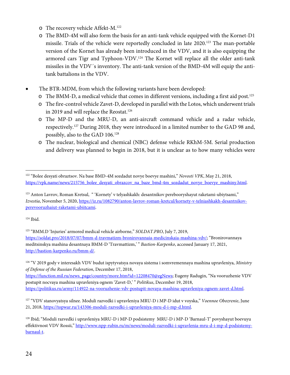- o The recovery vehicle Affekt-M.122
- o The BMD-4M will also form the basis for an anti-tank vehicle equipped with the Kornet-D1 missile. Trials of the vehicle were reportedly concluded in late 2020.123 The man-portable version of the Kornet has already been introduced in the VDV, and it is also equipping the armored cars Tigr and Typhoon-VDV.124 The Kornet will replace all the older anti-tank missiles in the VDV´s inventory. The anti-tank version of the BMD-4M will equip the antitank battalions in the VDV.
- The BTR-MDM, from which the following variants have been developed:
	- o The BMM-D, a medical vehicle that comes in different versions, including a first aid post.125
	- o The fire-control vehicle Zavet-D, developed in parallel with the Lotos, which underwent trials in 2019 and will replace the Reostat.<sup>126</sup>
	- o The MP-D and the MRU-D, an anti-aircraft command vehicle and a radar vehicle, respectively.127 During 2018, they were introduced in a limited number to the GAD 98 and, possibly, also to the GAD 106.128
	- o The nuclear, biological and chemical (NBC) defense vehicle RKhM-5M. Serial production and delivery was planned to begin in 2018, but it is unclear as to how many vehicles were

124 Ibid.

125 "BMM.D 'Injuries' armored medical vehicle airborne," *SOLDAT.PRO*, July 7, 2019, https://soldat.pro/2018/07/07/bmm-d-travmatizm-bronirovannaia-medicinskaia-mashina-vdv/; "Bronirovannaya meditsinskya mashina desantnaya BMM-D 'Travmattizm,' " *Bastion-Karpenko*, accessed January 17, 2021, http://bastion-karpenko.ru/bmm-d/.

https://function.mil.ru/news\_page/country/more.htm?id=12208470@egNews; Eugeny Radugin, "Na vooruzhenie VDV postupit nocvaya mashina upravleniya ognem 'Zavet-D,' " *Politikus*, December 19, 2018, https://politikus.ru/army/114922-na-vooruzhenie-vdv-postupit-novaya-mashina-upravleniya-ognem-zavet-d.html.

 122 "Bolee desyati obraztsov. Na base BMD-4M sozdadut novye boevye mashini," *Novosti VPK*, May 21, 2018, https://vpk.name/news/215756\_bolee\_desyati\_obrazcov\_na\_baze\_bmd-4m\_sozdadut\_novye\_boevye\_mashiny.html.

<sup>&</sup>lt;sup>123</sup> Anton Lavrov, Roman Kretsul, " 'Kornety' v telyashkakh: desantnikov perebooryshayut raketami-ubiytsami," *Izvestia*, November 5, 2020, https://iz.ru/1082790/anton-lavrov-roman-kretcul/kornety-v-telniashkakh-desantnikovperevooruzhaiut-raketami-ubiitcami.

<sup>126 &</sup>quot;V 2019 gody v interesakh VDV budut ispytyvatsya novaya sistema i somvremennaya mashina upravleniya, *Ministry of Defense of the Russian Federation*, December 17, 2018,

<sup>127 &</sup>quot;VDV stanovyatsya silnee. Moduli razvedki i upravleniya MRU-D i MP-D idut v voyska," *Voennoe Obozrenie*, June 21, 2018, https://topwar.ru/143306-moduli-razvedki-i-upravleniya-mru-d-i-mp-d.html.

<sup>128</sup> Ibid; "Moduli razvedki i upravleniya MRU-D i MP-D podsistemy MRU-D i MP-D 'Barnaul-T' povyshayut boevuyu effektivnost VDV Rossii," http://www.npp-rubin.ru/m/news/moduli-razvedki-i-upravlenia-mru-d-i-mp-d-podsistemybarnaul-t.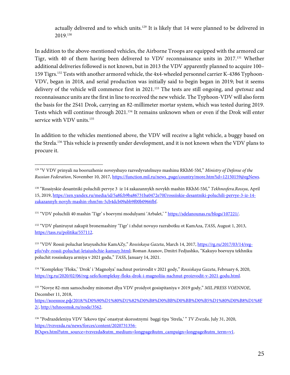actually delivered and to which units.<sup>129</sup> It is likely that 14 were planned to be delivered in 2019.130

In addition to the above-mentioned vehicles, the Airborne Troops are equipped with the armored car Tigr, with 40 of them having been delivered to VDV reconnaissance units in 2017.131 Whether additional deliveries followed is not known, but in 2013 the VDV apparently planned to acquire 100– 159 Tigrs.132 Tests with another armored vehicle, the 4x4-wheeled personnel carrier K-4386 Typhoon-VDV, began in 2018, and serial production was initially said to begin began in 2019; but it seems delivery of the vehicle will commence first in 2021.133 The tests are still ongoing, and *spetsnaz* and reconnaissance units are the first in line to received the new vehicle. The Typhoon-VDV will also form the basis for the 2S41 Drok, carrying an 82-millimeter mortar system, which was tested during 2019. Tests which will continue through 2021.134 It remains unknown when or even if the Drok will enter service with VDV units.<sup>135</sup>

In addition to the vehicles mentioned above, the VDV will receive a light vehicle, a buggy based on the Strela.136 This vehicle is presently under development, and it is not known when the VDV plans to procure it.

<sup>131</sup> "VDV poluchili 40 mashin 'Tigr' s boevymi modulyami 'Arbalet,' " https://sdelanounas.ru/blogs/107221/.

132 "VDV planiruyut zakupit bronemashiny 'Tigr' i zhdut novuyo razrabotku ot KamAza, *TASS*, August 1, 2013, https://tass.ru/politika/557112.

133 "VDV Rossii poluchat letayushchie KamAZy," *Rossiskaya Gazeta*, March 14, 2017, https://rg.ru/2017/03/14/regpfo/vdv-rossii-poluchat-letaiushchie-kamazy.html; Roman Azanov, Dmitri Fedjushko, "Kakuyo boevuyu tekhniku poluchit rossisskaya armiya v 2021 godu," *TASS*, January 14, 2021.

134 "Kompleksy 'Floks,' 'Drok' i 'Magnolya' nachnut porizvodit v 2021 gody," *Rossiskaya Gazeta*, February 6, 2020, https://rg.ru/2020/02/06/reg-szfo/kompleksy-floks-drok-i-magnoliia-nachnut-proizvodit-v-2021-godu.html.

135 "Novye 82-mm samochodny minomet dlya VDV proidyot gosispitaniya v 2019 gody," *MIL.PRESS VOENNOE*, December 11, 2018,

https://военное.рф/2018/%D0%90%D1%80%D1%82%D0%B8%D0%BB%D0%BB%D0%B5%D1%80%D0%B8%D1%8F 2/, http://tehnoomsk.ru/node/3562.

136 "Podrazdeleniya VDV 'lekovo tipa' onastyat skorostnymi baggi tipa 'Strela,' " *TV Zvezda*, July 31, 2020, https://tvzvezda.ru/news/forces/content/2020731356- BOqws.html?utm\_source=tvzvezda&utm\_medium=longpage&utm\_campaign=longpage&utm\_term=v1.

<sup>129 &</sup>quot;V VDV prinyali na booruzhenie noveyshuyo razvedyvatelnuyo mashinu RKhM-5M," *Ministry of Defense of the Russian Federation*, November 10, 2017, https://function.mil.ru/news\_page/country/more.htm?id=12150159@egNews.

<sup>130 &</sup>quot;Rossiyskie desantniki poluchili pervye 3 iz 14 zakazannykh novykh mashin RKhM-5M," *Tekhnosfera.Rossya*, April 15, 2019, https://zen.yandex.ru/media/id/5a8fcb9ba86731ba0472e70f/rossiiskie-desantniki-poluchili-pervye-3-iz-14 zakazannyh-novyh-mashin-rhm5m-5cb4dcb09abb9f00b0966fbf.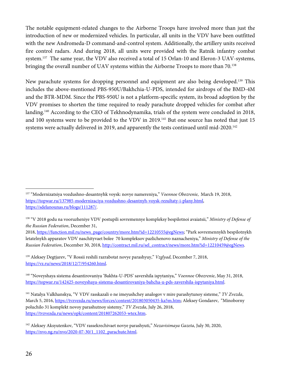The notable equipment-related changes to the Airborne Troops have involved more than just the introduction of new or modernized vehicles. In particular, all units in the VDV have been outfitted with the new Andromeda-D command-and-control system. Additionally, the artillery units received fire control radars. And during 2018, all units were provided with the Ratnik infantry combat system.137 The same year, the VDV also received a total of 15 Orlan-10 and Eleron-3 UAV-systems, bringing the overall number of UAV systems within the Airborne Troops to more than 70.138

New parachute systems for dropping personnel and equipment are also being developed.<sup>139</sup> This includes the above-mentioned PBS-950U/Bakhchia-U-PDS, intended for airdrops of the BMD-4M and the BTR-MDM. Since the PBS-950U is not a platform-specific system, its broad adoption by the VDV promises to shorten the time required to ready parachute dropped vehicles for combat after landing.<sup>140</sup> According to the CEO of Tekhnodynamika, trials of the system were concluded in 2018, and 100 systems were to be provided to the VDV in 2019.<sup>141</sup> But one source has noted that just 15 systems were actually delivered in 2019, and apparently the tests continued until mid-2020.<sup>142</sup>

<sup>137 &</sup>quot;Modernizatsiya vozdushno-desantnyhk voysk: novye namereniya," *Voennoe Obozrenie*, March 19, 2018, https://topwar.ru/137985-modernizaciya-vozdushno-desantnyh-voysk-rezultaty-i-plany.html, https://sdelanounas.ru/blogs/111287/.

<sup>138 &</sup>quot;V 2018 godu na vooruzheniye VDV postupili sovremennye kompleksy bespilotnoi avaiatsii," *Ministry of Defense of the Russian Federation*, December 31,

<sup>2018,</sup> https://function.mil.ru/news\_page/country/more.htm?id=12210555@egNews; "Park sovremennykh bespilotnykh letatelnykh apparatov VDV naschityvaet bolee 70 kompleksov pazlichenovo naznacheniya," *Ministry of Defense of the Russian Federation*, December 30, 2018, http://contract.mil.ru/sel\_contract/news/more.htm?id=12210459@egNews.

<sup>139</sup> Aleksey Degtjarev, "V Rossii reshili razrabotat novye parashyuy," *Vzglyad*, December 7, 2018, https://vz.ru/news/2018/12/7/954260.html.

<sup>140 &</sup>quot;Noveyshaya sistema desantirovaniya 'Bakhta-U-PDS' savershila ispytaniya," *Voennoe Obozrenie*, May 31, 2018, https://topwar.ru/142425-noveyshaya-sistema-desantirovaniya-bahcha-u-pds-zavershila-ispytaniya.html.

<sup>141</sup> Natalya Valkhanskya, "V VDV rasskazali o ne imeyushchey analogov v mire parashytunoy sisteme," *TV Zvezda*, March 5, 2016, https://tvzvezda.ru/news/forces/content/201803050435-ka5m.htm; Aleksey Gondarev, "Minoborny poluchilo 31 komplekt novoy parashutnoy sistemy," *TV Zvezda*, July 26, 2018, https://tvzvezda.ru/news/opk/content/201807262053-wtex.htm.

<sup>142</sup> Aleksey Aksyutenkov, "VDV rassekrechivaet novye parashyuti," *Nezavisimaya Gazeta*, July 30, 2020, https://nvo.ng.ru/nvo/2020-07-30/1\_1102\_parachute.html.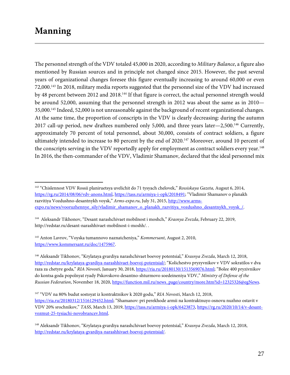#### **Manning**

The personnel strength of the VDV totaled 45,000 in 2020, according to *Military Balance*, a figure also mentioned by Russian sources and in principle not changed since 2015. However, the past several years of organizational changes foresee this figure eventually increasing to around 60,000 or even 72,000.143 In 2018, military media reports suggested that the personnel size of the VDV had increased by 48 percent between 2012 and 2018.<sup>144</sup> If that figure is correct, the actual personnel strength would be around 52,000, assuming that the personnel strength in 2012 was about the same as in 2010— 35,000.145 Indeed, 52,000 is not unreasonable against the background of recent organizational changes. At the same time, the proportion of conscripts in the VDV is clearly decreasing: during the autumn 2017 call-up period, new draftees numbered only 5,000, and three years later—2,500.<sup>146</sup> Currently, approximately 70 percent of total personnel, about 30,000, consists of contract soldiers, a figure ultimately intended to increase to 80 percent by the end of 2020.<sup>147</sup> Moreover, around 10 percent of the conscripts serving in the VDV reportedly apply for employment as contract soldiers every year.<sup>148</sup> In 2016, the then-commander of the VDV, Vladimir Shamanov, declared that the ideal personnel mix

<sup>143 &</sup>quot;Chislennost VDV Rossii planiruetsya uvelichit do 71 tysyach chelovek," *Rossiskaya Gazeta,* Augsut 6, 2014, https://rg.ru/2014/08/06/vdv-anons.html, https://tass.ru/armiya-i-opk/2018491; "Vladimir Shamanov o planakh razvitiya Vozdushno-desantnykh voysk," *Arms-expo.ru*, July 31, 2015, http://www.armsexpo.ru/news/vooruzhennye\_sily/vladimir\_shamanov\_o\_planakh\_razvitiya\_vozdushno\_desantnykh\_voysk\_/.

<sup>144</sup> Aleksandr Tikhonov, "Desant narashchivaet mobilnost i moshch," *Krasnya Zvezda*, February 22, 2019, http://redstar.ru/desant-narashhivaet-mobilnost-i-moshh/. .

<sup>145</sup> Anton Lavrov, "Voyska tumannovo naznatcheniya," *Kommersant*, August 2, 2010, https://www.kommersant.ru/doc/1475967.

<sup>146</sup> Aleksandr Tikhonov, "Krylataya gvardiya narashchivaet boevoy potentsial," *Krasnya Zvezda*, March 12, 2018, http://redstar.ru/krylataya-gvardiya-narashhivaet-boevoj-potentsial/; "Kolichestvo pryzyvnikov v VDV sokratilos v dva raza za chetyre goda," *RIA Novosti*, January 30, 2018, https://ria.ru/20180130/1513569076.html; "Bolee 400 pryzivnikov do kontsa goda popolnyat ryady Pskovskovo desantno-shturmovo soedeineniya VDV," *Ministry of Defense of the Russian Federation*, November 18, 2020, https://function.mil.ru/news\_page/country/more.htm?id=12325326@egNews.

<sup>147 &</sup>quot;VDV na 80% budut sostoyat iz kontraktnikov k 2020 godu," *RIA Novosti*, March 12, 2018, https://ria.ru/20180312/1516129452.html; "Shamanov: pri perekhode armii na kontraktnuyo osnovu nuzhno ostavit v VDV 20% srochnikov," *TASS*, March 13, 2019, https://tass.ru/armiya-i-opk/6423873, https://rg.ru/2020/10/14/v-desantvozmut-25-tysiachi-novobrancev.html.

<sup>148</sup> Aleksandr Tikhonov, "Krylataya gvardiya narashchivaet boevoy potentsial," *Krasnya Zvezda*, March 12, 2018, http://redstar.ru/krylataya-gvardiya-narashhivaet-boevoj-potentsial/.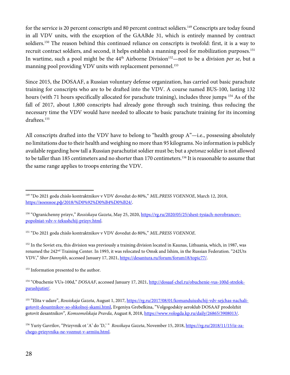for the service is 20 percent conscripts and 80 percent contract soldiers.<sup>149</sup> Conscripts are today found in all VDV units, with the exception of the GAABde 31, which is entirely manned by contract soldiers.<sup>150</sup> The reason behind this continued reliance on conscripts is twofold: first, it is a way to recruit contract soldiers, and second, it helps establish a manning pool for mobilization purposes.151 In wartime, such a pool might be the 44<sup>th</sup> Airborne Division<sup>152</sup>—not to be a division *per se*, but a manning pool providing VDV units with replacement personnel.<sup>153</sup>

Since 2015, the DOSAAF, a Russian voluntary defense organization, has carried out basic parachute training for conscripts who are to be drafted into the VDV. A course named BUS-100, lasting 132 hours (with 71 hours specifically allocated for parachute training), includes three jumps <sup>154</sup> As of the fall of 2017, about 1,800 conscripts had already gone through such training, thus reducing the necessary time the VDV would have needed to allocate to basic parachute training for its incoming draftees.155

All conscripts drafted into the VDV have to belong to "health group A"—i.e., possessing absolutely no limitations due to their health and weighing no more than 95 kilograms. No information is publicly available regarding how tall a Russian parachutist soldier must be; but a *spetsnaz* soldier is not allowed to be taller than 185 centimeters and no shorter than 170 centimeters.156 It is reasonable to assume that the same range applies to troops entering the VDV.

<sup>152</sup> In the Soviet era, this division was previously a training division located in Kaunas, Lithuania, which, in 1987, was renamed the 242nd Training Center. In 1993, it was relocated to Omsk and Ishim, in the Russian Federation. "242Uts VDV," *Sbor Dannykh*, accessed January 17, 2021, https://desantura.ru/forum/forum18/topic77/.

<sup>153</sup> Information presented to the author.

154 "Obuchenie VUs-100d," *DOSAAF*, accessed January 17, 2021, http://dosaaf-chel.ru/obuchenie-vus-100d-strelokparashjutist/.

155 "Elita v udare", *Rossiskaja Gazeta*, August 1, 2017, https://rg.ru/2017/08/01/komanduiushchij-vdv-sejchas-nachaligotovit-desantnikov-so-shkolnoj-skami.html, Evgeniya Grebelkina, "Volgogodskiy aeroklub DOSAAF prodolzhit gotovit desantnikov"*, Komsomolskaja Pravda*, August 8, 2018, https://www.vologda.kp.ru/daily/26865/3908013/.

 149 "Do 2021 goda chislo kontraktnikov v VDV dovedut do 80%," *MIL.PRESS VOENNOE*, March 12, 2018, https://военное.рф/2018/%D0%92%D0%B4%D0%B24/.

<sup>150 &</sup>quot;Ogranichenny prizyv," *Rossiskaya Gazeta*, May 25, 2020, https://rg.ru/2020/05/25/shest-tysiach-novobrancevpopolniat-vdv-v-tekushchij-prizyv.html.

<sup>151 &</sup>quot;Do 2021 goda chislo kontraktnikov v VDV dovedut do 80%," *MIL.PRESS VOENNOE*.

<sup>&</sup>lt;sup>156</sup> Yuriy Gavrilov, "Prizyvnik ot 'A' do 'D,' " *Rossikaya Gazeta*, November 15, 2018, https://rg.ru/2018/11/15/iz-zachego-prizyvnika-ne-vozmut-v-armiiu.html.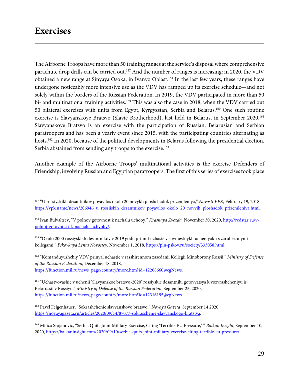#### **Exercises**

The Airborne Troops have more than 50 training ranges at the service's disposal where comprehensive parachute drop drills can be carried out.<sup>157</sup> And the number of ranges is increasing: in 2020, the VDV obtained a new range at Sinyaya Osoka, in Ivanvo Oblast.158 In the last few years, these ranges have undergone noticeably more intensive use as the VDV has ramped up its exercise schedule—and not solely within the borders of the Russian Federation. In 2019, the VDV participated in more than 50 bi- and multinational training activities.<sup>159</sup> This was also the case in 2018, when the VDV carried out 50 bilateral exercises with units from Egypt, Kyrgyzstan, Serbia and Belarus.<sup>160</sup> One such routine exercise is Slavyanskoye Bratsvo (Slavic Brotherhood), last held in Belarus, in September 2020.<sup>161</sup> Slavyanskoye Bratsvo is an exercise with the participation of Russian, Belarusian and Serbian paratroopers and has been a yearly event since 2015, with the participating countries alternating as hosts.<sup>162</sup> In 2020, because of the political developments in Belarus following the presidential election, Serbia abstained from sending any troops to the exercise.<sup>163</sup>

Another example of the Airborne Troops' multinational activities is the exercise Defenders of Friendship, involving Russian and Egyptian paratroopers. The first of this series of exercises took place

160 "Komanduyushchiy VDV prinyal uchastie v rasshirennom zasedanii Kollegii Minoborony Rossii," *Ministry of Defense of the Russian Federation*, December 18, 2018, https://function.mil.ru/news\_page/country/more.htm?id=12208660@egNews.

<sup>157 &</sup>quot;U rossiyskikh desantnikov poyavilos okolo 20 novykh ploshchadok prizemleniya," *Novosti VPK*, February 19, 2018, https://vpk.name/news/206946\_u\_rossiiskih\_desantnikov\_poyavilos\_okolo\_20\_novyih\_ploshadok\_prizemleniya.html.

<sup>158</sup> Ivan Bulvaltsev, "V polnoy gotovnost k nachalu uchoby," *Krasnaya Zvezda,* November 30, 2020, http://redstar.ru/vpolnoj-gotovnosti-k-nachalu-uchyoby/.

<sup>159 &</sup>quot;Okolo 2000 rossiyskikh desantnikov v 2019 godu primut uchasie v sovmestnykh ucheniyakh s zarubezhnymi kollegami," *Pskovkaya Lenta Novostey*, November 1, 2018, https://pln-pskov.ru/society/333058.html.

<sup>&</sup>lt;sup>161</sup> "Uchastvovashie v uchenii 'Slavyanskoe bratsvo-2020' rossiyskie desantniki gotovyatsya k vozvrashcheniyu is Belorussii v Rossiyu," *Ministry of Defense of the Russian Federation*, September 25, 2020, https://function.mil.ru/news\_page/country/more.htm?id=12316195@egNews.

<sup>162</sup> Pavel Felgenhauer, "Sokrashchenie slavyanskovo bratsvo," *Novaya Gazeta*, September 14 2020, https://novayagazeta.ru/articles/2020/09/14/87077-sokraschenie-slavyanskogo-bratstva.

<sup>163</sup> Milica Stojanovic, "Serbia Quits Joint Military Exercise, Citing 'Terrible EU Pressure,' " *Balkan Insight*, September 10, 2020, https://balkaninsight.com/2020/09/10/serbia-quits-joint-military-exercise-citing-terrible-eu-pressure/.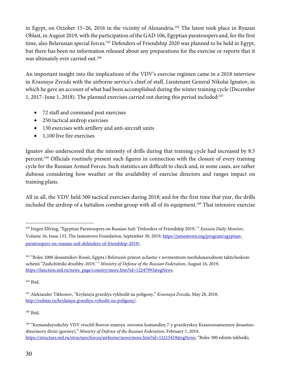in Egypt, on October 15–26, 2016 in the vicinity of Alexandria.<sup>164</sup> The latest took place in Ryazan Oblast, in August 2019, with the participation of the GAD 106, Egyptian paratroopers and, for the first time, also Belarusian special forces.<sup>165</sup> Defenders of Friendship 2020 was planned to be held in Egypt, but there has been no information released about any preparations for the exercise or reports that it was ultimately ever carried out.<sup>166</sup>

An important insight into the implications of the VDV's exercise regimen came in a 2018 interview in *Krasnaya Zvezda* with the airborne service's chief of staff, Lieutenant General Nikolai Ignatov, in which he gave an account of what had been accomplished during the winter training cycle (December 1, 2017–June 1, 2018). The planned exercises carried out during this period included:<sup>167</sup>

- 72 staff and command post exercises
- 250 tactical airdrop exercises
- 130 exercises with artillery and anti-aircraft units
- $\bullet$  1,100 live fire exercises

Ignatov also underscored that the intensity of drills during that training cycle had increased by 8.5 percent.168 Officials routinely present such figures in connection with the closure of every training cycle for the Russian Armed Forces. Such statistics are difficult to check and, in some cases, are rather dubious considering how weather or the availability of exercise directors and ranges impact on training plans.

All in all, the VDV held 500 tactical exercises during 2018; and for the first time that year, the drills included the airdrop of a battalion combat group with all of its equipment.<sup>169</sup> That intensive exercise

168 Ibid.

<sup>164</sup> Jörgen Elfving, "Egyptian Paratroopers on Russian Soil: 'Defenders of Friendship 2019,' " *Eurasia Daily Monitor*, Volume 16, Issue 133, The Jamestown Foundation, September 30, 2019, https://jamestown.org/program/egyptianparatroopers-on-russian-soil-defenders-of-friendship-2019/.

<sup>165 &</sup>quot;Bolee 1000 desantnikov Rossii, Egipta i Belorussii primut uchastie v sovmestnom mezhdunarodnom takticheskom uchenii "Zashchitniki druzhby-2019,' " *Ministry of Defense of the Russian Federation*, August 16, 2019, https://function.mil.ru/news\_page/country/more.htm?id=12247993@egNews.

<sup>166</sup> Ibid.

<sup>167</sup> Aleksander Tikhonov, "Krylataya gvardiya vykhodit na poligony," *Krasnaya Zvezda*, May 28, 2018, http://redstar.ru/krylataya-gvardiya-vyhodit-na-poligony/.

<sup>169 &</sup>quot;Komanduyoshchiy VDV vruchil Boevoe znamya novomu komandiru 7-y gvardeyskoy Krasnoznamennoy desantnoshturmovy divisi (gornoy)," *Ministry of Defense of the Russian Federation*, February 1, 2019, https://structure.mil.ru/structure/forces/airborne/news/more.htm?id=12215419@egNews; "Bolee 300 edinits tekhniki,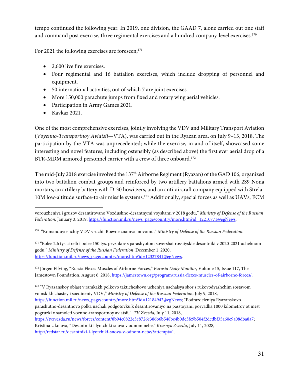tempo continued the following year. In 2019, one division, the GAAD 7, alone carried out one staff and command post exercise, three regimental exercises and a hundred company-level exercises.<sup>170</sup>

For 2021 the following exercises are foreseen; $171$ 

- 2,600 live fire exercises.
- Four regimental and 16 battalion exercises, which include dropping of personnel and equipment.
- 50 international activities, out of which 7 are joint exercises.
- More 150,000 parachute jumps from fixed and rotary wing aerial vehicles.
- Participation in Army Games 2021.
- Kavkaz 2021.

One of the most comprehensive exercises, jointly involving the VDV and Military Transport Aviation (*Voyenno-Transportnoy Aviatsii*—VTA), was carried out in the Ryazan area, on July 9–13, 2018. The participation by the VTA was unprecedented; while the exercise, in and of itself, showcased some interesting and novel features, including ostensibly (as described above) the first ever aerial drop of a BTR-MDM armored personnel carrier with a crew of three onboard.<sup>172</sup>

The mid-July 2018 exercise involved the 137<sup>th</sup> Airborne Regiment (Ryazan) of the GAD 106, organized into two battalion combat groups and reinforced by two artillery battalions armed with 2S9 Nona mortars, an artillery battery with D-30 howitzers, and an anti-aircraft company equipped with Strela-10M low-altitude surface-to-air missile systems.173 Additionally, special forces as well as UAVs, ECM

 $171$  "Bolee 2,6 tys. strelb i bolee 150 tys. pryzhkov s parashyotom sovershat rossiiyskie desantniki v 2020-2021 uchebnom godu," *Ministry of Defense of the Russian Federation*, December 1, 2020, https://function.mil.ru/news\_page/country/more.htm?id=12327841@egNews.

172 Jörgen Elfving, "Russia Flexes Muscles of Airborne Forces," *Eurasia Daily Monitor*, Volume 15, Issue 117, The Jamestown Foundation, August 6, 2018, https://jamestown.org/program/russia-flexes-muscles-of-airborne-forces/.

<sup>173</sup> "V Ryazanskoy oblast v ramkakh polkovo takticheskovo ucheniya nachalsya sbor s rukovodyashchim sostavom voinskikh chastey i soedineniy VDV," *Ministry of Defense of the Russian Federation*, July 9, 2018, https://function.mil.ru/news\_page/country/more.htm?id=12184942@egNews; "Podrazdeleniya Ryazanskovo parashutno-desantnovo polka nachali podgotovku k desantirovaniyo na passtoyanii poryadka 1000 kilometrov ot mest pogruzki v samoleti voenno-transportnoy aviatsii," *TV Zvezda*, July 11, 2018, https://tvzvezda.ru/news/forces/content/8b94c0822e3e8726e386b6b548be4b0dc3fc9b504f2dcdbf35a60e9a08dba8a7; Kristina Ukolova, "Desantniki i lyotchiki snova v odnom nebe," *Krasnya Zvezda*, July 11, 2028, http://redstar.ru/desantniki-i-lyotchiki-snova-v-odnom-nebe/?attempt=1.

vorouzheniya i gruzov desantirovano Vozdushno-desantnymi voyskami v 2018 godu," *Ministry of Defense of the Russian Federation*, January 3, 2019, https://function.mil.ru/news\_page/country/more.htm?id=12210771@egNews.

<sup>170 &</sup>quot;Komanduyoshchiy VDV vruchil Boevoe znamya novomu," *Ministry of Defense of the Russian Federation*.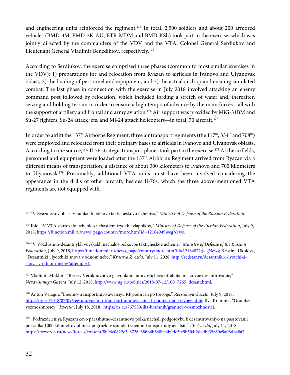and engineering units reinforced the regiment.<sup>174</sup> In total, 2,500 soldiers and about 200 armored vehicles (BMD-4M, BMD-2K-AU, BTR-MDM and BMD-KSh) took part in the exercise, which was jointly directed by the commanders of the VDV and the VTA, Colonel General Serdiukov and Lieutenant General Vladimir Benediktov, respectively.175

According to Serdiukov, the exercise comprised three phases (common to most similar exercises in the VDV): 1) preparations for and relocation from Ryazan to airfields in Ivanovo and Ulyanovsk oblast, 2) the loading of personnel and equipment, and 3) the actual airdrop and ensuing simulated combat. The last phase in connection with the exercise in July 2018 involved attacking an enemy command post followed by relocation, which included fording a stretch of water and, thereafter, seizing and holding terrain in order to ensure a high tempo of advance by the main forces—all with the support of artillery and frontal and army aviation.<sup>176</sup> Air support was provided by MiG-31BM and Su-27 fighters, Su-24 attack jets, and Mi-24 attack helicopters—in total, 70 aircraft.<sup>177</sup>

In order to airlift the 137<sup>th</sup> Airborne Regiment, three air transport regiments (the 117<sup>th</sup>, 334<sup>th</sup> and 708<sup>th</sup>) were employed and relocated from their ordinary bases to airfields in Ivanovo and Ulyanovsk oblasts. According to one source, 45 Il-76 strategic transport planes took part in the exercise.<sup>178</sup> At the airfields, personnel and equipment were loaded after the 137th Airborne Regiment arrived from Ryazan via a different means of transportation, a distance of about 300 kilometers to Ivanovo and 700 kilometers to Ulyanovsk.179 Presumably, additional VTA units must have been involved considering the appearance in the drills of other aircraft, besides Il-76s, which the three above-mentioned VTA regiments are not equipped with.

176 "V Vozdushno-desantnykh voyskakh nachalos polkovoe takticheskoe uchenie," *Ministry of Defense of the Russian Federation*, July 9, 2018, https://function.mil.ru/news\_page/country/more.htm?id=12184872@egNews; Kristina Ukolova, "Desantniki i lyotchiki snova v odnom nebe," *Krasnya Zvezda*, July 11, 2028, http://redstar.ru/desantniki-i-lyotchikisnova-v-odnom-nebe/?attempt=1.

<sup>177</sup> Vladimir Mukhin, "Rezerv Verokhovnovo glavnokomanduyoshchevo otrabotal massovoe desantirovanie," *Nezavisimaya Gazeta*, July 12, 2018, http://www.ng.ru/politics/2018-07-12/100\_7265\_desant.html.

178 Anton Valagin, "Boenno-transportnuyo aviatsiyu RF podnyali po trevoge," *Rossiskaya Gazeta*, July 9, 2018, https://rg.ru/2018/07/09/reg-ufo/voenno-transportnuiu-aviaciiu-rf-podniali-po-trevoge.html; Ilya Kramnik, "Granitsy vozmozhnostey," *Izvestia*, July 18, 2018, https://iz.ru/767550/ilia-kramnik/granitcy-vozmozhnostei.

<sup>174 &</sup>quot;V Ryazanskoy oblast v ramkakh polkovo takticheskovo ucheniya," *Ministry of Defense of the Russian Federation*.

<sup>175</sup> Ibid; "V VTA startovalo uchenie s uchastiem tryokh aviapolkov," *Ministry of Defense of the Russian Federation*, July 9, 2018, https://function.mil.ru/news\_page/country/more.htm?id=12184949@egNews.

<sup>179 &</sup>quot;Podrazdeleniya Ryazanskovo parashutno-desantnovo polka nachali podgotovku k desantirovaniyo na passtoyanii poryadka 1000 kilometrov ot mest pogruzki v samoleti voenno-transportnoy aviatsii," *TV Zvezda*, July 11, 2018, https://tvzvezda.ru/news/forces/content/8b94c0822e3e8726e386b6b548be4b0dc3fc9b504f2dcdbf35a60e9a08dba8a7.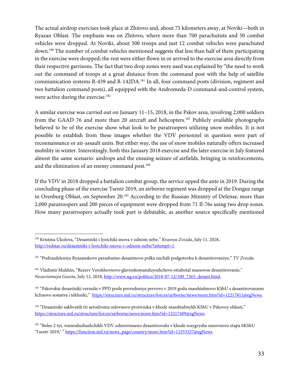The actual airdrop exercises took place at Zhitovo and, about 75 kilometers away, at Noviki—both in Ryazan Oblast. The emphasis was on Zhitovo, where more than 700 parachutists and 50 combat vehicles were dropped. At Noviki, about 500 troops and just 12 combat vehicles were parachuted down.180 The number of combat vehicles mentioned suggests that less than half of them participating in the exercise were dropped; the rest were either flown in or arrived to the exercise area directly from their respective garrisons. The fact that two drop zones were used was explained by "the need to work out the command of troops at a great distance from the command post with the help of satellite communication systems R-439 and R-142DA.<sup>181</sup> In all, four command posts (division, regiment and two battalion command posts), all equipped with the Andromeda-D command-and-control system, were active during the exercise.<sup>182</sup>

A similar exercise was carried out on January 11–15, 2018, in the Pskov area, involving 2,000 soldiers from the GAAD 76 and more than 20 aircraft and helicopters.<sup>183</sup> Publicly available photographs believed to be of the exercise show what look to be paratroopers utilizing snow mobiles. It is not possible to establish from these images whether the VDV personnel in question were part of reconnaissance or air-assault units. But either way, the use of snow mobiles naturally offers increased mobility in winter. Interestingly, both this January 2018 exercise and the later exercise in July featured almost the same scenario: airdrops and the ensuing seizure of airfields, bringing in reinforcements, and the elimination of an enemy command post.<sup>184</sup>

If the VDV in 2018 dropped a battalion combat group, the service upped the ante in 2019. During the concluding phase of the exercise Tsentr 2019, an airborne regiment was dropped at the Donguz range in Orenburg Oblast, on September 20.<sup>185</sup> According to the Russian Ministry of Defense, more than 2,000 paratroopers and 200 pieces of equipment were dropped from 71 Il-76s using two drop zones. How many paratroopers actually took part is debatable, as another source specifically mentioned

<sup>180</sup> Kristina Ukolova, "Desantniki i lyotchiki snova v odnom nebe," *Krasnya Zvezda*, July 11, 2028, http://redstar.ru/desantniki-i-lyotchiki-snova-v-odnom-nebe/?attempt=1.

<sup>181 &</sup>quot;Podrazdeleniya Ryazanskovo parashutno-desantnovo polka nachali podgotovku k desantirovaniyo," *TV Zvezda*.

<sup>&</sup>lt;sup>182</sup> Vladimir Mukhin, "Rezerv Verokhovnovo glavnokomanduyoshchevo otrabotal massovoe desantirovanie," *Nezavisimaya Gazeta*, July 12, 2018, http://www.ng.ru/politics/2018-07-12/100\_7265\_desant.html.

<sup>183 &</sup>quot;Pskovskie desantniki vernulis v PPD posle provedeniya pervovo v 2019 godu masshtabnovo KShU s desantirovaniem lichnovo sostatva i tekhniki," https://structure.mil.ru/structure/forces/airborne/news/more.htm?id=12217811@egNews.

<sup>184 &</sup>quot;Desantniki zakhvatili tri aerodroma uslovnovo protivnika v khode masshtabnykh KShU v Pskovoy oblasti," https://structure.mil.ru/structure/forces/airborne/news/more.htm?id=12217409@egNews.

<sup>185 &</sup>quot;Bolee 2 tys. voenosluzhashchikh VDV odnovremeno desantirovalis v khode rosygrysha osnovnovo etapa SKShU 'Tsentr-2019,'" https://function.mil.ru/news\_page/country/more.htm?id=12253327@egNews.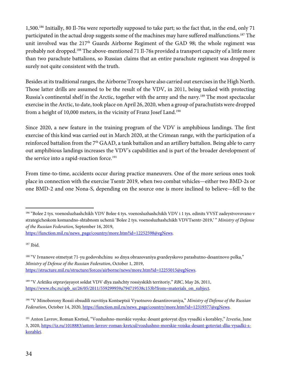1,500.186 Initially, 80 Il-76s were reportedly supposed to take part; so the fact that, in the end, only 71 participated in the actual drop suggests some of the machines may have suffered malfunctions.<sup>187</sup> The unit involved was the  $217<sup>th</sup>$  Guards Airborne Regiment of the GAD 98; the whole regiment was probably not dropped.188 The above-mentioned 71 Il-76s provided a transport capacity of a little more than two parachute battalions, so Russian claims that an entire parachute regiment was dropped is surely not quite consistent with the truth.

Besides at its traditional ranges, the Airborne Troops have also carried out exercises in the High North. Those latter drills are assumed to be the result of the VDV, in 2011, being tasked with protecting Russia's continental shelf in the Arctic, together with the army and the navy.<sup>189</sup> The most spectacular exercise in the Arctic, to date, took place on April 26, 2020, when a group of parachutists were dropped from a height of 10,000 meters, in the vicinity of Franz Josef Land.190

Since 2020, a new feature in the training program of the VDV is amphibious landings. The first exercise of this kind was carried out in March 2020, at the Crimean range, with the participation of a reinforced battalion from the 7<sup>th</sup> GAAD, a tank battalion and an artillery battalion. Being able to carry out amphibious landings increases the VDV's capabilities and is part of the broader development of the service into a rapid-reaction force.<sup>191</sup>

From time-to-time, accidents occur during practice maneuvers. One of the more serious ones took place in connection with the exercise Tsentr 2019, when two combat vehicles—either two BMD-2s or one BMD-2 and one Nona-S, depending on the source one is more inclined to believe—fell to the

<sup>186 &</sup>quot;Bolee 2 tys. voenosluzhashchikh VDV Bolee 4 tys. voenosluzhashchikh VDV i 1 tys. edinits VVST zadeystvovovano v strategicheskom komandno-shtabnom uchenii 'Bolee 2 tys. voenosluzhashchikh VDVTsentr-2019,' " *Ministry of Defense of the Russian Federation*, September 16, 2019,

https://function.mil.ru/news\_page/country/more.htm?id=12252598@egNews.

<sup>187</sup> Ibid.

<sup>188 &</sup>quot;V Ivnanove otmetyat 71-yu godovshchinu so dnya obrazovaniya gvardeyskovo parashutno-desantnovo polka," *Ministry of Defense of the Russian Federation*, October 1, 2019, https://structure.mil.ru/structure/forces/airborne/news/more.htm?id=12255015@egNews.

<sup>189 &</sup>quot;V Arktiku otpravjayayot soldat VDV dlya zashchty rossiyskikh territoriy," *RBC*, May 26, 2011, https://www.rbc.ru/spb\_sz/26/05/2011/559299959a794719538c153b?from=materials\_on\_subject.

<sup>190 &</sup>quot;V Minoborony Rossii obsudili razvitiya Kontseptsii Vysotnovo desantirovaniya," *Ministry of Defense of the Russian Federation*, October 14, 2020, https://function.mil.ru/news\_page/country/more.htm?id=12319377@egNews.

<sup>191</sup> Anton Lavrov, Roman Kretsul, "Vozdushno-morskie voyska: desant gotovyat djya vysadki s korabley," *Izvestia*, June 3, 2020, https://iz.ru/1018883/anton-lavrov-roman-kretcul/vozdushno-morskie-voiska-desant-gotoviat-dlia-vysadki-skorablei.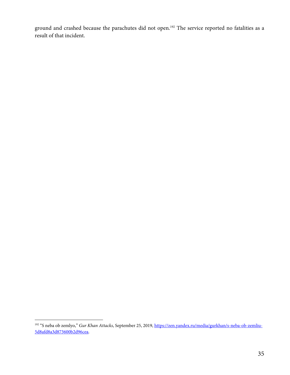ground and crashed because the parachutes did not open.<sup>192</sup> The service reported no fatalities as a result of that incident.

<sup>&</sup>lt;sup>192</sup> "S neba ob zemlyo," *Gur Khan Attacks*, September 25, 2019, <u>https://zen.yandex.ru/media/gurkhan/s-neba-ob-zemliu-</u> 5d8afd8a3d873600b2d96cea.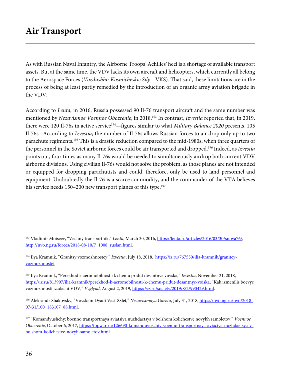## **Air Transport**

As with Russian Naval Infantry, the Airborne Troops' Achilles' heel is a shortage of available transport assets. But at the same time, the VDV lacks its own aircraft and helicopters, which currently all belong to the Aerospace Forces (*Vozdushho-Kosmicheskie Sily*—VKS). That said, these limitations are in the process of being at least partly remedied by the introduction of an organic army aviation brigade in the VDV.

According to *Lenta*, in 2016, Russia possessed 90 Il-76 transport aircraft and the same number was mentioned by *Nezavismoe Voennoe Obozrenie*, in 2018.193 In contrast, *Izvestia* reported that, in 2019, there were 120 Il-76s in active service<sup>194</sup>—figures similar to what *Military Balance 2020* presents, 105 Il-76s. According to *Izvestia*, the number of Il-76s allows Russian forces to air drop only up to two parachute regiments.195 This is a drastic reduction compared to the mid-1980s, when three quarters of the personnel in the Soviet airborne forces could be air transported and dropped.196 Indeed, as *Izvestia* points out, four times as many Il-76s would be needed to simultaneously airdrop both current VDV airborne divisions. Using civilian Il-76s would not solve the problem, as those planes are not intended or equipped for dropping parachutists and could, therefore, only be used to land personnel and equipment. Undoubtedly the Il-76 is a scarce commodity, and the commander of the VTA believes his service needs 150–200 new transport planes of this type.<sup>197</sup>

<sup>193</sup> Vladimir Moiseev, "Vechny transportnik," *Lenta*, March 30, 2016, https://lenta.ru/articles/2016/03/30/snova76/, http://nvo.ng.ru/forces/2018-08-10/7\_1008\_ruslan.html.

<sup>194</sup> Ilya Kramnik, "Granitsy vozmozhnostey," *Izvestia*, July 18, 2018, https://iz.ru/767550/ilia-kramnik/granitcyvozmozhnostei.

<sup>195</sup> Ilya Kramnik, "Perekhod k aeromobilnosti: k chemu pridut desantnye voyska," *Izvestia*, November 21, 2018, https://iz.ru/813997/ilia-kramnik/perekhod-k-aeromobilnosti-k-chemu-pridut-desantnye-voiska; "Kak izmenilis boevye vozmozhnosti izadachi VDV," *Vzglyad*, August 2, 2019, https://vz.ru/society/2019/8/2/990429.html.

<sup>196</sup> Aleksandr Shakovsky, "Voyskam Dyadi Vasi-88let," *Nezavisimaya Gazeta*, July 31, 2018, https://nvo.ng.ru/nvo/2018- 07-31/100\_183107\_88.html.

<sup>197 &</sup>quot;Komandyushchy: boenno transportnaya aviatsiya nuzhdaetsya v bolshom kolichestve novykh samoletov," *Voennoe Obozrenie*, October 6, 2017, https://topwar.ru/126690-komanduyuschiy-voenno-transportnaya-aviaciya-nuzhdaetsya-vbolshom-kolichestve-novyh-samoletov.html.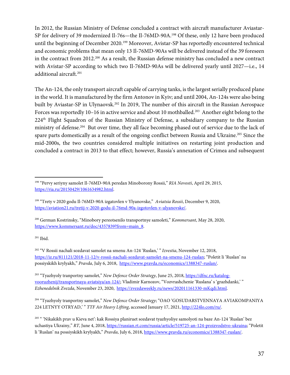In 2012, the Russian Ministry of Defense concluded a contract with aircraft manufacturer Aviastar-SP for delivery of 39 modernized Il-76s—the Il-76MD-90A.198 Of these, only 12 have been produced until the beginning of December 2020.<sup>199</sup> Moreover, Avistar-SP has reportedly encountered technical and economic problems that mean only 13 Il-76MD-90As will be delivered instead of the 39 foreseen in the contract from 2012.<sup>200</sup> As a result, the Russian defense ministry has concluded a new contract with Avistar-SP according to which two Il-76MD-90As will be delivered yearly until 2027—i.e., 14 additional aircraft.<sup>201</sup>

The An-124, the only transport aircraft capable of carrying tanks, is the largest serially produced plane in the world. It is manufactured by the firm Antonov in Kyiv; and until 2004, An-124s were also being built by Aviastar-SP in Ulynaovsk.<sup>202</sup> In 2019, The number of this aircraft in the Russian Aerospace Forces was reportedly 10–16 in active service and about 10 mothballed.<sup>203</sup> Another eight belong to the 224th Flight Squadron of the Russian Ministry of Defense, a subsidiary company to the Russian ministry of defense.<sup>204</sup> But over time, they all face becoming phased out of service due to the lack of spare parts domestically as a result of the ongoing conflict between Russia and Ukraine.<sup>205</sup> Since the mid-2000s, the two countries considered multiple initiatives on restarting joint production and concluded a contract in 2013 to that effect; however, Russia's annexation of Crimea and subsequent

201 Ibid.

203 "Tyazhyoly tranportny samolet," *New Defence Order Strategy*, June 25, 2018, https://dfnc.ru/katalogvooruzhenij/transportnaya-aviatsiya/an-124/; Vladimir Karnozov, "Vozvrashchenie 'Ruslana' s 'grazhdanki,' " *Ezhenedelnik Zvezda*, November 23, 2020, https://zvezdaweekly.ru/news/202011161330-mKqdi.html.

204 "Tyazhyoly tranportny samolet," *New Defence Order Strategy*; "OAO 'GOSUDARSTVENNAYA AVIAKOMPANIYA 224 LETNYY OTRYAD,' " *TTF Air Heavy Lifting*, accessed January 17, 2021, http://224lo.com/ru/.

<sup>198 &</sup>quot;Pervy seriyny samolet Il-76MD-90A peredan Minoborony Rossii," *RIA Novosti*, April 29, 2015, https://ria.ru/20150429/1061634982.html.

<sup>199 &</sup>quot;Trety v 2020 godu Il-76MD-90A izgatovlen v Ylyanovske," *Aviatsia Rossii*, December 9, 2020, https://aviation21.ru/tretij-v-2020-godu-il-76md-90a-izgotovlen-v-ulyanovske/.

<sup>200</sup> German Kostrinsky, "Minobory pereotsenilo transportnye samoleti," *Kommersant*, May 28, 2020, https://www.kommersant.ru/doc/4357839?from=main\_8.

<sup>202 &</sup>quot;V Rossii nachali sozdavat samolet na smenu An-124 'Ruslan,' " *Izvestia*, November 12, 2018, https://iz.ru/811121/2018-11-12/v-rossii-nachali-sozdavat-samolet-na-smenu-124-ruslan; "Poletit li 'Ruslan' na possiyskikh krylyakh," *Pravda*, July 6, 2018, https://www.pravda.ru/economics/1388347-ruslan/.

<sup>205 &</sup>quot; 'Nikakikh prav u Kieva net': kak Rossiya planiruet sozdavat tyazhyoliye samolyoti na baze An-124 'Ruslan' bez uchastiya Ukrainy," *RT*, June 4, 2018, https://russian.rt.com/russia/article/519725-an-124-proizvodstvo-ukraina; "Poletit li 'Ruslan' na possiyskikh krylyakh," *Pravda*, July 6, 2018, https://www.pravda.ru/economics/1388347-ruslan/.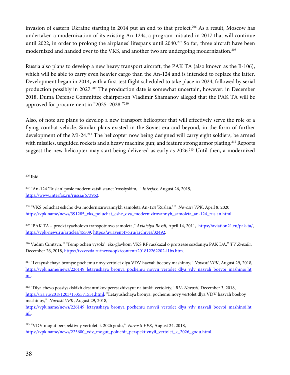invasion of eastern Ukraine starting in 2014 put an end to that project.<sup>206</sup> As a result, Moscow has undertaken a modernization of its existing An-124s, a program initiated in 2017 that will continue until 2022, in order to prolong the airplanes' lifespans until 2040.<sup>207</sup> So far, three aircraft have been modernized and handed over to the VKS, and another two are undergoing modernization.208

Russia also plans to develop a new heavy transport aircraft, the PAK TA (also known as the Il-106), which will be able to carry even heavier cargo than the An-124 and is intended to replace the latter. Development began in 2014, with a first test flight scheduled to take place in 2024, followed by serial production possibly in 2027.<sup>209</sup> The production date is somewhat uncertain, however: in December 2018, Duma Defense Committee chairperson Vladimir Shamanov alleged that the PAK TA will be approved for procurement in "2025–2028."210

Also, of note are plans to develop a new transport helicopter that will effectively serve the role of a flying combat vehicle. Similar plans existed in the Soviet era and beyond, in the form of further development of the Mi-24.<sup>211</sup> The helicopter now being designed will carry eight soldiers; be armed with missiles, unguided rockets and a heavy machine gun; and feature strong armor plating.<sup>212</sup> Reports suggest the new helicopter may start being delivered as early as 2026.213 Until then, a modernized

 206 Ibid.

208 "VKS poluchat eshcho dva modernizirovannykh samoleta An-124 'Ruslan,' " *Novosti VPK*, April 8, 2020 https://vpk.name/news/391285\_vks\_poluchat\_eshe\_dva\_modernizirovannyh\_samoleta\_an-124\_ruslan.html.

209 "PAK TA – proekt tyazholovo transpotnovo samoleta," *Aviatsiya Rossii*, April 14, 2011, https://aviation21.ru/pak-ta/, https://vpk-news.ru/articles/45509, https://aviavent476.ru/archives/32492.

210 Vadim Cinitsyn, " 'Temp ochen vysoki': eks-glavkom VKS RF rasskazal o protsesse sozdaniya PAK DA," *TV Zvezda*, December 26, 2018, https://tvzvezda.ru/news/opk/content/201812262202-l1bs.htm.

211 "Letayushchaya bronya: pochemu novy vertolet dlya VDV hazvali boeboy mashinoy," *Novosti VPK*, August 29, 2018, https://vpk.name/news/226149\_letayushaya\_bronya\_pochemu\_novyii\_vertolet\_dlya\_vdv\_nazvali\_boevoi\_mashinoi.ht ml.

https://vpk.name/news/226149\_letayushaya\_bronya\_pochemu\_novyii\_vertolet\_dlya\_vdv\_nazvali\_boevoi\_mashinoi.ht ml.

<sup>207 &</sup>quot;An-124 'Ruslan' posle modernizatsii stanet 'rossiyskim,' " *Interfax*, August 26, 2019, https://www.interfax.ru/russia/673952.

<sup>212 &</sup>quot;Dlya chevo possiyskiskikh desantnikov peresazhivayut na tankii vertolety," *RIA Novosti*, December 3, 2018, https://ria.ru/20181203/1535571531.html; "Letayushchaya bronya: pochemu novy vertolet dlya VDV hazvali boeboy mashinoy," *Novosti VPK*, August 29, 2018,

<sup>213 &</sup>quot;VDV mogut perspektivny vertolet k 2026 godu," *Novosti VPK*, August 24, 2018, https://vpk.name/news/225600\_vdv\_mogut\_poluchit\_perspektivnyii\_vertolet\_k\_2026\_godu.html.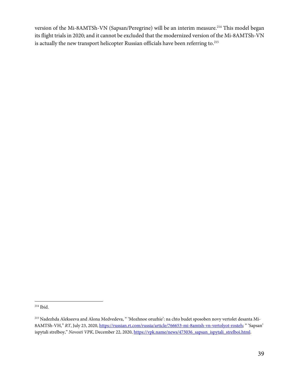version of the Mi-8AMTSh-VN (Sapsan/Peregrine) will be an interim measure.<sup>214</sup> This model began its flight trials in 2020; and it cannot be excluded that the modernized version of the Mi-8AMTSh-VN is actually the new transport helicopter Russian officials have been referring to.<sup>215</sup>

<sup>214</sup> Ibid.

<sup>215</sup> Nadezhda Alekseeva and Alona Medvedeva, " 'Mozhnoe oruzhie': na chto budet sposoben novy vertolet desanta Mi-8AMTSh-VH," *RT*, July 23, 2020, https://russian.rt.com/russia/article/766653-mi-8amtsh-vn-vertolyot-rosteh; " 'Sapsan' ispytali strelboy," *Novosti VPK*, December 22, 2020, https://vpk.name/news/473036\_sapsan\_ispytali\_strelboi.html.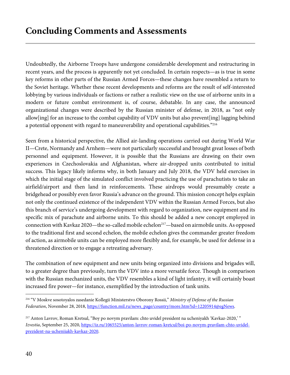Undoubtedly, the Airborne Troops have undergone considerable development and restructuring in recent years, and the process is apparently not yet concluded. In certain respects—as is true in some key reforms in other parts of the Russian Armed Forces—these changes have resembled a return to the Soviet heritage. Whether these recent developments and reforms are the result of self-interested lobbying by various individuals or factions or rather a realistic view on the use of airborne units in a modern or future combat environment is, of course, debatable. In any case, the announced organizational changes were described by the Russian minister of defense, in 2018, as "not only allow[ing] for an increase to the combat capability of VDV units but also prevent[ing] lagging behind a potential opponent with regard to maneuverability and operational capabilities."<sup>216</sup>

Seen from a historical perspective, the Allied air-landing operations carried out during World War II—Crete, Normandy and Arnhem—were not particularly successful and brought great losses of both personnel and equipment. However, it is possible that the Russians are drawing on their own experiences in Czechoslovakia and Afghanistan, where air-dropped units contributed to initial success. This legacy likely informs why, in both January and July 2018, the VDV held exercises in which the initial stage of the simulated conflict involved practicing the use of parachutists to take an airfield/airport and then land in reinforcements. These airdrops would presumably create a bridgehead or possibly even favor Russia's advance on the ground. This mission concept helps explain not only the continued existence of the independent VDV within the Russian Armed Forces, but also this branch of service's undergoing development with regard to organization, new equipment and its specific mix of parachute and airborne units. To this should be added a new concept employed in connection with Kavkaz 2020—the so-called mobile echelon<sup>217</sup>—based on airmobile units. As opposed to the traditional first and second echelon, the mobile echelon gives the commander greater freedom of action, as airmobile units can be employed more flexibly and, for example, be used for defense in a threatened direction or to engage a retreating adversary.

The combination of new equipment and new units being organized into divisions and brigades will, to a greater degree than previously, turn the VDV into a more versatile force. Though in comparison with the Russian mechanized units, the VDV resembles a kind of light infantry, it will certainly boast increased fire power—for instance, exemplified by the introduction of tank units.

<sup>216 &</sup>quot;V Moskve sosotoyalos zasedanie Kollegii Ministerstvo Oborony Rossii," *Ministry of Defense of the Russian Federation*, November 28, 2018, https://function.mil.ru/news\_page/country/more.htm?id=12205914@egNews.

<sup>217</sup> Anton Lavrov, Roman Kretsul, "Boy po novym pravilam: chto uvidel president na ucheniyakh 'Kavkaz-2020,' " *Izvestia*, September 25, 2020, https://iz.ru/1065525/anton-lavrov-roman-kretcul/boi-po-novym-pravilam-chto-uvidelprezident-na-ucheniiakh-kavkaz-2020.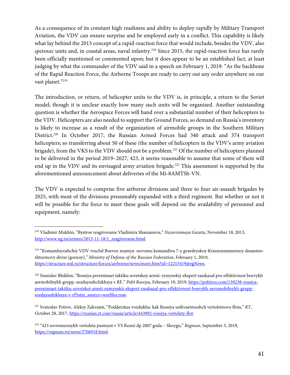As a consequence of its constant high readiness and ability to deploy rapidly by Military Transport Aviation, the VDV can ensure surprise and be employed early in a conflict. This capability is likely what lay behind the 2013 concept of a rapid-reaction force that would include, besides the VDV, also spetsnaz units and, in coastal areas, naval infantry.<sup>218</sup> Since 2015, the rapid-reaction force has rarely been officially mentioned or commented upon; but it does appear to be an established fact, at least judging by what the commander of the VDV said in a speech on February 1, 2019: "As the backbone of the Rapid Reaction Force, the Airborne Troops are ready to carry out any order anywhere on our vast planet."<sup>219</sup>

The introduction, or return, of helicopter units to the VDV is, in principle, a return to the Soviet model; though it is unclear exactly how many such units will be organized. Another outstanding question is whether the Aerospace Forces will hand over a substantial number of their helicopters to the VDV. Helicopters are also needed to support the Ground Forces, so demand on Russia's inventory is likely to increase as a result of the organization of airmobile groups in the Southern Military District.<sup>220</sup> In October 2017, the Russian Armed Forces had 340 attack and 374 transport helicopters; so transferring about 50 of these (the number of helicopters in the VDV's army aviation brigade), from the VKS to the VDV should not be a problem.<sup>221</sup> Of the number of helicopters planned to be delivered in the period 2019–2027, 423, it seems reasonable to assume that some of them will end up in the VDV and its envisaged army aviation brigade.<sup>222</sup> This assessment is supported by the aforementioned announcement about deliveries of the Mi-8AMTSh-VN.

The VDV is expected to comprise five airborne divisions and three to four air-assault brigades by 2025, with most of the divisions presumably expanded with a third regiment. But whether or not it will be possible for the force to meet these goals will depend on the availability of personnel and equipment, namely:

<sup>218</sup> Vladimir Mukhin, "Bystroe reagirovanie Vladimira Shamanova," *Nezavisimaya Gazeta*, November 18, 2013, http://www.ng.ru/armies/2013-11-18/1\_reagirovanie.html.

<sup>219 &</sup>quot;Komanduyoshchiy VDV vruchil Boevoe znamya novomu komandiru 7-y gvardeyskoy Krasnoznamennoy desantnoshturmovy divisi (gornoy)," *Ministry of Defense of the Russian Federation*, February 1, 2019, https://structure.mil.ru/structure/forces/airborne/news/more.htm?id=12215419@egNews.

<sup>220</sup> Stanislav Blokhin, "Rossiya perenimaet taktiku sovetskoy armii: rymynskiy ekspert rasskazal pro effektivnost boevykh aermobilnykh grupp, sozdayushchikhsya v RF," *Polit Rossiya*, February 19, 2019, https://politros.com/139238-rossiyaperenimaet-taktiku-sovetskoi-armii-rumynskii-ekspert-rasskazal-pro-effektivnost-boevykh-aeromobilnykh-gruppsozdayushikhsya-v-rf?utm\_source=warfiles.ruю.

<sup>221</sup> Svatoslav Petrov, Aleksy Zakvasin, "Podderzkas vozdukha: kak Rossiya usilivaetmoshch vertoletnovo flota," *RT*, October 28, 2017, https://russian.rt.com/russia/article/443892-rossiya-vertolety-flot.

<sup>222 &</sup>quot;423 sovremennykh vertoleta pustoyat v VS Rossii dp 2007 goda – Shoygu," *Regnum*, September 3, 2019, https://regnum.ru/news/2706918.html.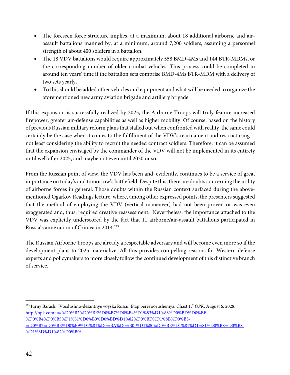- The foreseen force structure implies, at a maximum, about 18 additional airborne and airassault battalions manned by, at a minimum, around 7,200 soldiers, assuming a personnel strength of about 400 soldiers in a battalion.
- The 18 VDV battalions would require approximately 558 BMD-4Ms and 144 BTR-MDMs, or the corresponding number of older combat vehicles. This process could be completed in around ten years' time if the battalion sets comprise BMD-4Ms BTR-MDM with a delivery of two sets yearly.
- To this should be added other vehicles and equipment and what will be needed to organize the aforementioned new army aviation brigade and artillery brigade.

If this expansion is successfully realized by 2025, the Airborne Troops will truly feature increased firepower, greater air-defense capabilities as well as higher mobility. Of course, based on the history of previous Russian military reform plans that stalled out when confronted with reality, the same could certainly be the case when it comes to the fulfillment of the VDV's rearmament and restructuring not least considering the ability to recruit the needed contract soldiers. Therefore, it can be assumed that the expansion envisaged by the commander of the VDV will not be implemented in its entirety until well after 2025, and maybe not even until 2030 or so.

From the Russian point of view, the VDV has been and, evidently, continues to be a service of great importance on today's and tomorrow's battlefield. Despite this, there are doubts concerning the utility of airborne forces in general. Those doubts within the Russian context surfaced during the abovementioned Ogarkov Readings lecture, where, among other expressed points, the presenters suggested that the method of employing the VDV (vertical maneuver) had not been proven or was even exaggerated and, thus, required creative reassessment. Nevertheless, the importance attached to the VDV was explicitly underscored by the fact that 11 airborne/air-assault battalions participated in Russia's annexation of Crimea in 2014.<sup>223</sup>

The Russian Airborne Troops are already a respectable adversary and will become even more so if the development plans to 2025 materialize. All this provides compelling reasons for Western defense experts and policymakers to more closely follow the continued development of this distinctive branch of service.

223 Juriiy Barash, "Vosdushno-desantnye voyska Rossii: Etap perevoorusheniya. Chast 1," *OPK*, August 6, 2028, http://opk.com.ua/%D0%B2%D0%BE%D0%B7%D0%B4%D1%83%D1%88%D0%BD%D0%BE- %D0%B4%D0%B5%D1%81%D0%B0%D0%BD%D1%82%D0%BD%D1%8B%D0%B5- %D0%B2%D0%BE%D0%B9%D1%81%D0%BA%D0%B0-%D1%80%D0%BE%D1%81%D1%81%D0%B8%D0%B8- %D1%8D%D1%82%D0%B0/.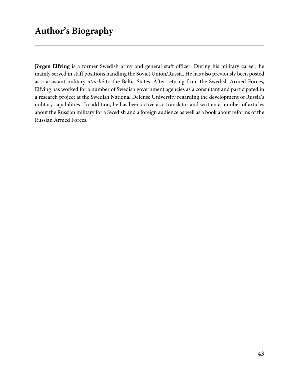**Jörgen Elfving** is a former Swedish army and general staff officer. During his military career, he mainly served in staff positions handling the Soviet Union/Russia. He has also previously been posted as a assistant military *attaché* to the Baltic States. After retiring from the Swedish Armed Forces, Elfving has worked for a number of Swedish government agencies as a consultant and participated in a research project at the Swedish National Defense University regarding the development of Russia's military capabilities. In addition, he has been active as a translator and written a number of articles about the Russian military for a Swedish and a foreign audience as well as a book about reforms of the Russian Armed Forces.